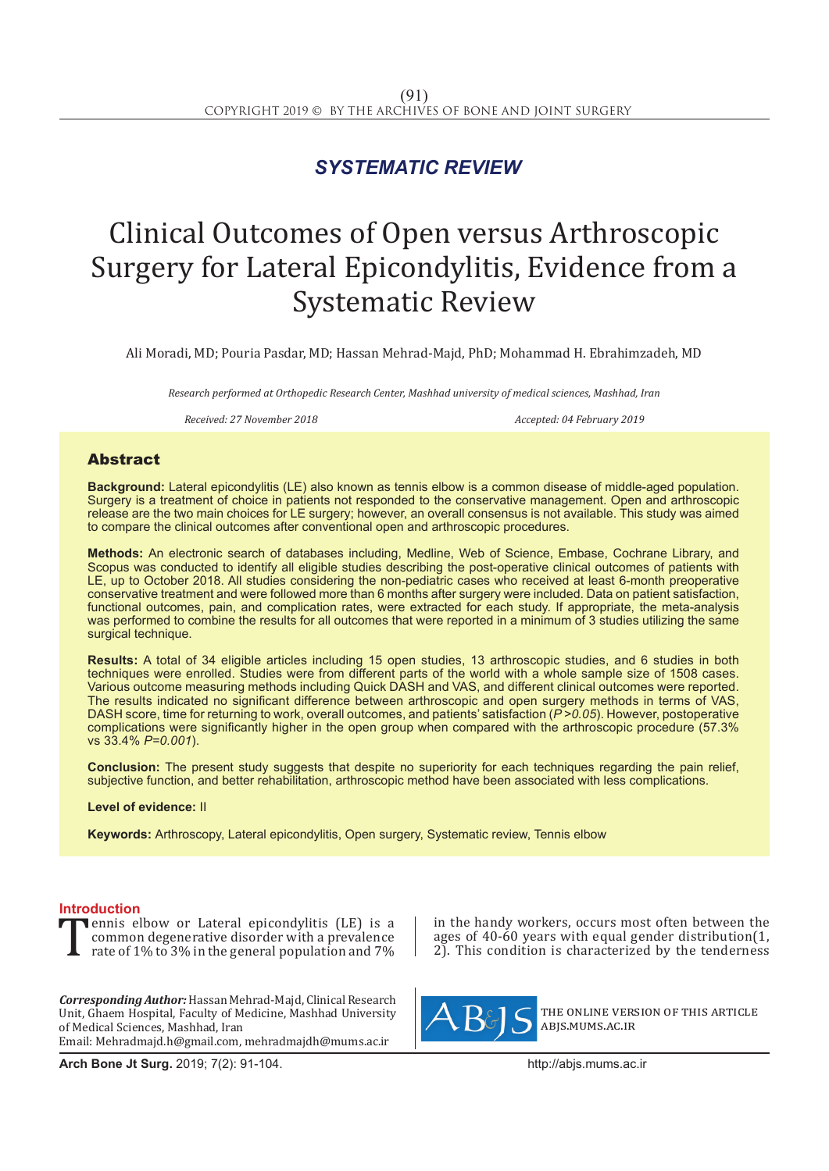## *SYSTEMATIC REVIEW*

# Clinical Outcomes of Open versus Arthroscopic Surgery for Lateral Epicondylitis, Evidence from a Systematic Review

Ali Moradi, MD; Pouria Pasdar, MD; Hassan Mehrad-Majd, PhD; Mohammad H. Ebrahimzadeh, MD

*Research performed at Orthopedic Research Center, Mashhad university of medical sciences, Mashhad, Iran*

*Received: 27 November 2018 Accepted: 04 February 2019*

### Abstract

**Background:** Lateral epicondylitis (LE) also known as tennis elbow is a common disease of middle-aged population. Surgery is a treatment of choice in patients not responded to the conservative management. Open and arthroscopic release are the two main choices for LE surgery; however, an overall consensus is not available. This study was aimed to compare the clinical outcomes after conventional open and arthroscopic procedures.

**Methods:** An electronic search of databases including, Medline, Web of Science, Embase, Cochrane Library, and Scopus was conducted to identify all eligible studies describing the post-operative clinical outcomes of patients with LE, up to October 2018. All studies considering the non-pediatric cases who received at least 6-month preoperative conservative treatment and were followed more than 6 months after surgery were included. Data on patient satisfaction, functional outcomes, pain, and complication rates, were extracted for each study. If appropriate, the meta-analysis was performed to combine the results for all outcomes that were reported in a minimum of 3 studies utilizing the same surgical technique.

**Results:** A total of 34 eligible articles including 15 open studies, 13 arthroscopic studies, and 6 studies in both techniques were enrolled. Studies were from different parts of the world with a whole sample size of 1508 cases. Various outcome measuring methods including Quick DASH and VAS, and different clinical outcomes were reported. The results indicated no significant difference between arthroscopic and open surgery methods in terms of VAS, DASH score, time for returning to work, overall outcomes, and patients' satisfaction (*P >0.05*). However, postoperative complications were significantly higher in the open group when compared with the arthroscopic procedure (57.3% vs 33.4% *P=0.001*).

**Conclusion:** The present study suggests that despite no superiority for each techniques regarding the pain relief, subjective function, and better rehabilitation, arthroscopic method have been associated with less complications.

**Level of evidence:** II

**Keywords:** Arthroscopy, Lateral epicondylitis, Open surgery, Systematic review, Tennis elbow

**Introduction**<br>**The Tennis elbow or Lateral epicondylitis (LE) is a** Tennis elbow or Lateral epicondylitis (LE) is a<br>common degenerative disorder with a prevalence<br>rate of 1% to 3% in the general population and 7% common degenerative disorder with a prevalence rate of 1% to 3% in the general population and 7%

*Corresponding Author:* Hassan Mehrad-Majd, Clinical Research Unit, Ghaem Hospital, Faculty of Medicine, Mashhad University of Medical Sciences, Mashhad, Iran Email: Mehradmajd.h@gmail.com, mehradmajdh@mums.ac.ir

**Arch Bone Jt Surg.** 2019; 7(2): 91-104.http://abjs.mums.ac.ir

in the handy workers, occurs most often between the ages of 40-60 years with equal gender distribution(1, 2). This condition is characterized by the tenderness



the online version of this article abjs.mums.ac.ir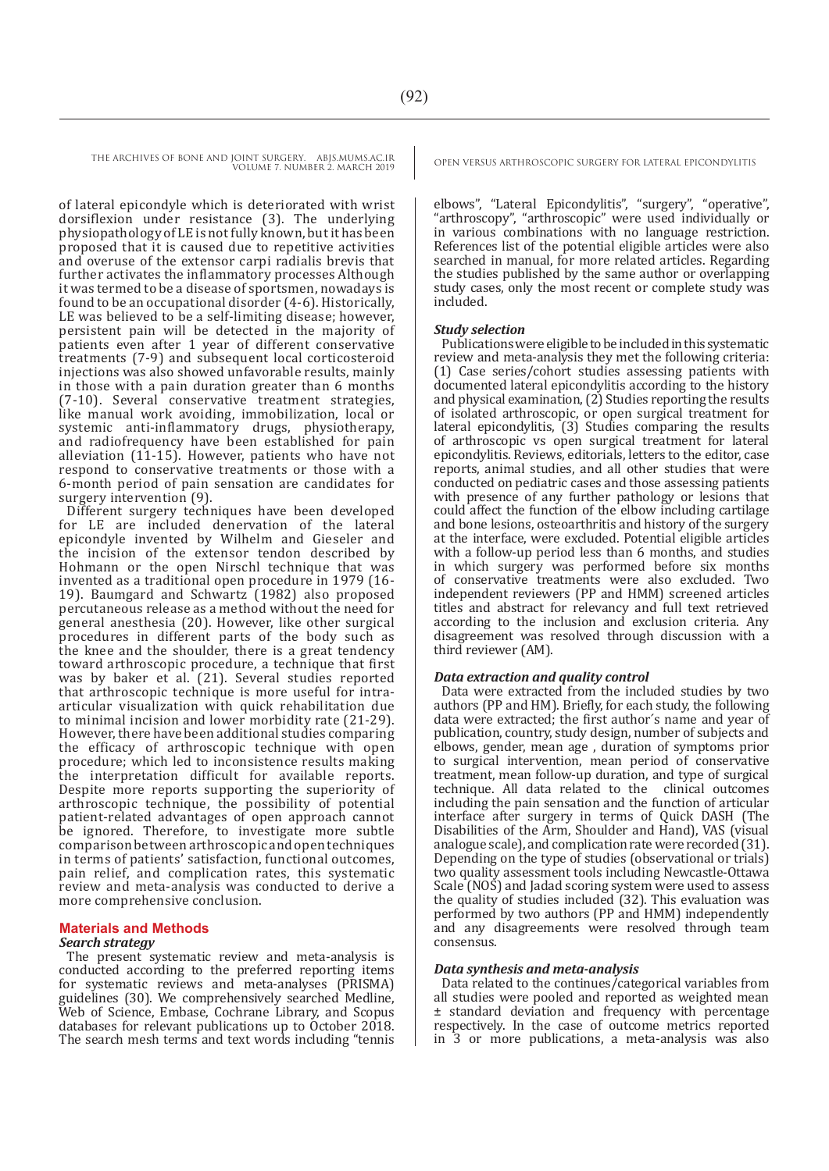of lateral epicondyle which is deteriorated with wrist dorsiflexion under resistance (3). The underlying physiopathology of LE is not fully known, but it has been proposed that it is caused due to repetitive activities and overuse of the extensor carpi radialis brevis that further activates the inflammatory processes Although it was termed to be a disease of sportsmen, nowadays is found to be an occupational disorder (4-6). Historically, LE was believed to be a self-limiting disease; however, persistent pain will be detected in the majority of patients even after 1 year of different conservative treatments (7-9) and subsequent local corticosteroid injections was also showed unfavorable results, mainly in those with a pain duration greater than 6 months (7-10). Several conservative treatment strategies, like manual work avoiding, immobilization, local or systemic anti-inflammatory drugs, physiotherapy, and radiofrequency have been established for pain alleviation (11-15). However, patients who have not respond to conservative treatments or those with a 6-month period of pain sensation are candidates for surgery intervention (9).

Different surgery techniques have been developed for LE are included denervation of the lateral epicondyle invented by Wilhelm and Gieseler and the incision of the extensor tendon described by Hohmann or the open Nirschl technique that was invented as a traditional open procedure in 1979 (16- 19). Baumgard and Schwartz (1982) also proposed percutaneous release as a method without the need for general anesthesia (20). However, like other surgical procedures in different parts of the body such as the knee and the shoulder, there is a great tendency toward arthroscopic procedure, a technique that first was by baker et al. (21). Several studies reported that arthroscopic technique is more useful for intraarticular visualization with quick rehabilitation due to minimal incision and lower morbidity rate (21-29). However, there have been additional studies comparing the efficacy of arthroscopic technique with open procedure; which led to inconsistence results making the interpretation difficult for available reports. Despite more reports supporting the superiority of arthroscopic technique, the possibility of potential patient-related advantages of open approach cannot be ignored. Therefore, to investigate more subtle comparison between arthroscopic and open techniques in terms of patients' satisfaction, functional outcomes, pain relief, and complication rates, this systematic review and meta-analysis was conducted to derive a more comprehensive conclusion.

#### **Materials and Methods**

#### *Search strategy*

The present systematic review and meta-analysis is conducted according to the preferred reporting items for systematic reviews and meta-analyses (PRISMA) guidelines (30). We comprehensively searched Medline, Web of Science, Embase, Cochrane Library, and Scopus databases for relevant publications up to October 2018. The search mesh terms and text words including "tennis

elbows", "Lateral Epicondylitis", "surgery", "operative", "arthroscopy", "arthroscopic" were used individually or in various combinations with no language restriction. References list of the potential eligible articles were also searched in manual, for more related articles. Regarding the studies published by the same author or overlapping study cases, only the most recent or complete study was included.

#### *Study selection*

Publications were eligible to be included in this systematic review and meta-analysis they met the following criteria: (1) Case series/cohort studies assessing patients with documented lateral epicondylitis according to the history and physical examination, (2) Studies reporting the results of isolated arthroscopic, or open surgical treatment for lateral epicondylitis, (3) Studies comparing the results of arthroscopic vs open surgical treatment for lateral epicondylitis. Reviews, editorials, letters to the editor, case reports, animal studies, and all other studies that were conducted on pediatric cases and those assessing patients with presence of any further pathology or lesions that could affect the function of the elbow including cartilage and bone lesions, osteoarthritis and history of the surgery at the interface, were excluded. Potential eligible articles with a follow-up period less than 6 months, and studies in which surgery was performed before six months of conservative treatments were also excluded. Two independent reviewers (PP and HMM) screened articles titles and abstract for relevancy and full text retrieved according to the inclusion and exclusion criteria. Any disagreement was resolved through discussion with a third reviewer (AM).

#### *Data extraction and quality control*

Data were extracted from the included studies by two authors (PP and HM). Briefly, for each study, the following data were extracted; the first author´s name and year of publication, country, study design, number of subjects and elbows, gender, mean age , duration of symptoms prior to surgical intervention, mean period of conservative treatment, mean follow-up duration, and type of surgical technique. All data related to the clinical outcomes including the pain sensation and the function of articular interface after surgery in terms of Quick DASH (The Disabilities of the Arm, Shoulder and Hand), VAS (visual analogue scale), and complication rate were recorded (31). Depending on the type of studies (observational or trials) two quality assessment tools including Newcastle-Ottawa Scale (NOS) and Jadad scoring system were used to assess the quality of studies included (32). This evaluation was performed by two authors (PP and HMM) independently and any disagreements were resolved through team consensus.

#### *Data synthesis and meta-analysis*

Data related to the continues/categorical variables from all studies were pooled and reported as weighted mean ± standard deviation and frequency with percentage respectively. In the case of outcome metrics reported in 3 or more publications, a meta-analysis was also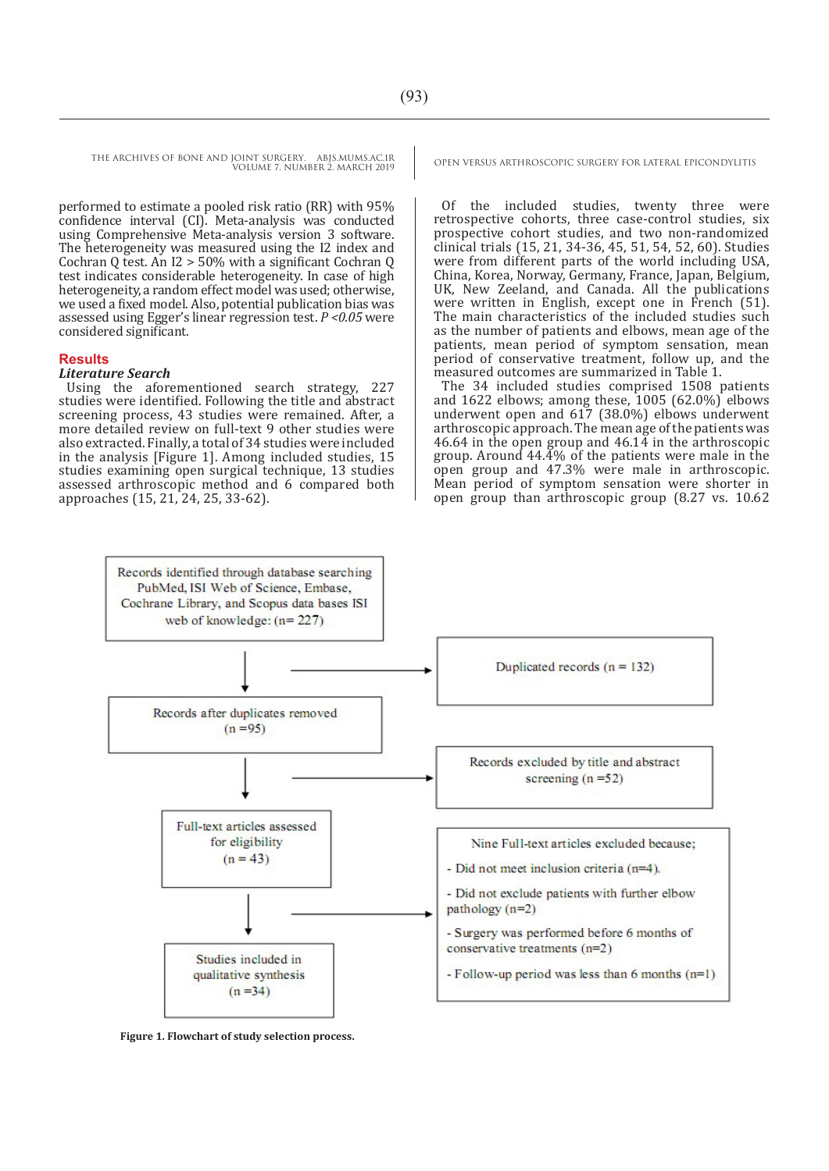performed to estimate a pooled risk ratio (RR) with 95% confidence interval (CI). Meta-analysis was conducted using Comprehensive Meta-analysis version 3 software. The heterogeneity was measured using the I2 index and Cochran Q test. An I2 > 50% with a significant Cochran Q test indicates considerable heterogeneity. In case of high heterogeneity, a random effect model was used; otherwise, we used a fixed model. Also, potential publication bias was assessed using Egger's linear regression test. *P <0.05* were considered significant.

#### **Results**

#### *Literature Search*

Using the aforementioned search strategy, 227 studies were identified. Following the title and abstract screening process, 43 studies were remained. After, a more detailed review on full-text 9 other studies were also extracted. Finally, a total of 34 studies were included in the analysis [Figure 1]. Among included studies, 15 studies examining open surgical technique, 13 studies assessed arthroscopic method and 6 compared both approaches (15, 21, 24, 25, 33-62).

Of the included studies, twenty three were retrospective cohorts, three case-control studies, six prospective cohort studies, and two non-randomized clinical trials (15, 21, 34-36, 45, 51, 54, 52, 60). Studies were from different parts of the world including USA, China, Korea, Norway, Germany, France, Japan, Belgium, UK, New Zeeland, and Canada. All the publications were written in English, except one in French (51). The main characteristics of the included studies such as the number of patients and elbows, mean age of the patients, mean period of symptom sensation, mean period of conservative treatment, follow up, and the measured outcomes are summarized in Table 1.

The 34 included studies comprised 1508 patients and 1622 elbows; among these,  $1005$  (62.0%) elbows underwent open and 617 (38.0%) elbows underwent arthroscopic approach. The mean age of the patients was 46.64 in the open group and 46.14 in the arthroscopic group. Around 44.4% of the patients were male in the open group and 47.3% were male in arthroscopic. Mean period of symptom sensation were shorter in open group than arthroscopic group (8.27 vs. 10.62



**Figure 1. Flowchart of study selection process.**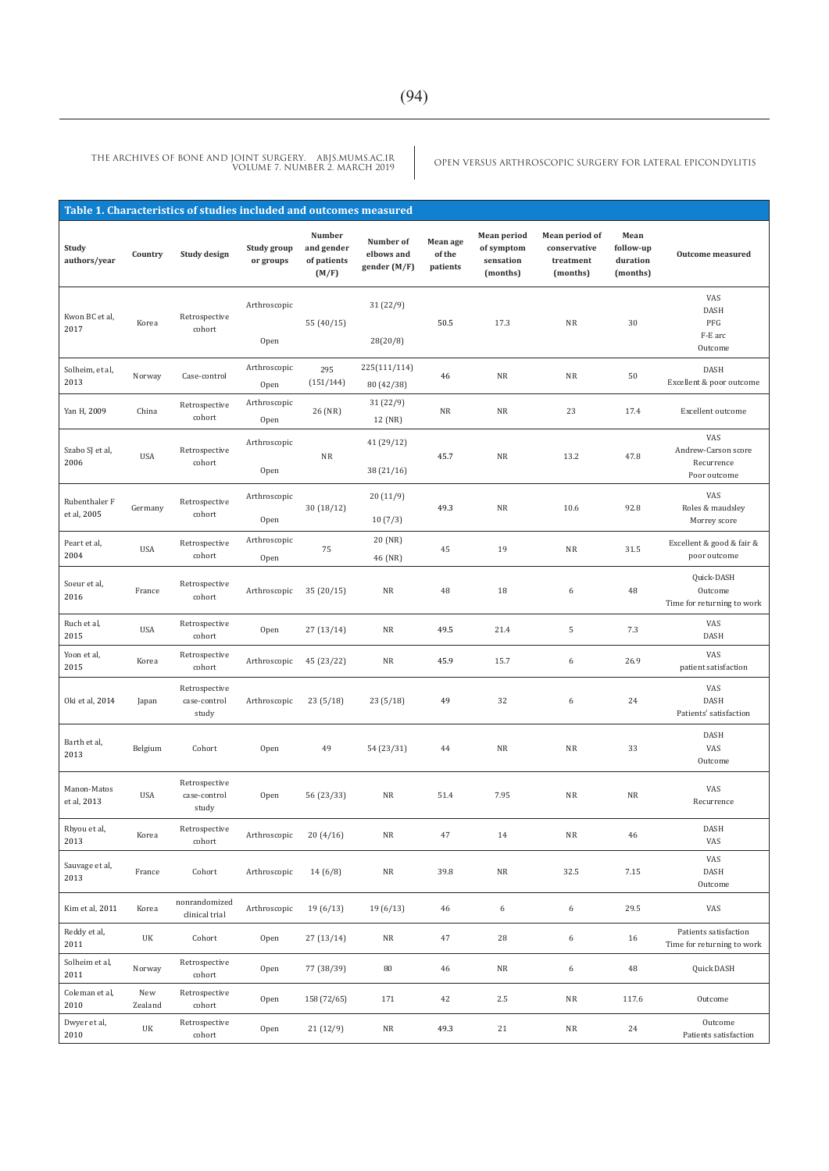|                              |                | Table 1. Characteristics of studies included and outcomes measured |                          |                                              |                                         |                                |                                                    |                                                         |                                           |                                                          |
|------------------------------|----------------|--------------------------------------------------------------------|--------------------------|----------------------------------------------|-----------------------------------------|--------------------------------|----------------------------------------------------|---------------------------------------------------------|-------------------------------------------|----------------------------------------------------------|
| Study<br>authors/year        | Country        | Study design                                                       | Study group<br>or groups | Number<br>and gender<br>of patients<br>(M/F) | Number of<br>elbows and<br>gender (M/F) | Mean age<br>of the<br>patients | Mean period<br>of symptom<br>sensation<br>(months) | Mean period of<br>conservative<br>treatment<br>(months) | Mean<br>follow-up<br>duration<br>(months) | Outcome measured                                         |
| Kwon BC et al,<br>2017       | Korea          | Retrospective<br>cohort                                            | Arthroscopic<br>Open     | 55 (40/15)                                   | 31(22/9)<br>28(20/8)                    | 50.5                           | 17.3                                               | NR                                                      | 30                                        | VAS<br>DASH<br>PFG<br>F-E arc<br>Outcome                 |
| Solheim, et al,<br>2013      | Norway         | Case-control                                                       | Arthroscopic<br>Open     | 295<br>(151/144)                             | 225(111/114)<br>80 (42/38)              | 46                             | NR                                                 | NR                                                      | 50                                        | DASH<br>Excellent & poor outcome                         |
| Yan H, 2009                  | China          | Retrospective<br>cohort                                            | Arthroscopic<br>Open     | 26 (NR)                                      | 31(22/9)<br>12 (NR)                     | NR                             | NR                                                 | 23                                                      | 17.4                                      | Excellent outcome                                        |
| Szabo SJ et al,<br>2006      | <b>USA</b>     | Retrospective<br>cohort                                            | Arthroscopic<br>Open     | ${\rm NR}$                                   | 41 (29/12)<br>38(21/16)                 | 45.7                           | ${\rm NR}$                                         | 13.2                                                    | 47.8                                      | VAS<br>Andrew-Carson score<br>Recurrence<br>Poor outcome |
| Rubenthaler F<br>et al, 2005 | Germany        | Retrospective<br>cohort                                            | Arthroscopic<br>Open     | 30(18/12)                                    | 20(11/9)<br>10(7/3)                     | 49.3                           | NR                                                 | 10.6                                                    | 92.8                                      | VAS<br>Roles & maudsley<br>Morrey score                  |
| Peart et al,<br>2004         | <b>USA</b>     | Retrospective<br>cohort                                            | Arthroscopic<br>Open     | 75                                           | 20 (NR)<br>46 (NR)                      | 45                             | 19                                                 | ${\rm NR}$                                              | 31.5                                      | Excellent & good & fair &<br>poor outcome                |
| Soeur et al,<br>2016         | France         | Retrospective<br>cohort                                            | Arthroscopic             | 35(20/15)                                    | ${\rm NR}$                              | 48                             | 18                                                 | 6                                                       | 48                                        | Quick-DASH<br>Outcome<br>Time for returning to work      |
| Ruch et al,<br>2015          | <b>USA</b>     | Retrospective<br>cohort                                            | Open                     | 27(13/14)                                    | NR                                      | 49.5                           | 21.4                                               | 5                                                       | 7.3                                       | VAS<br>DASH                                              |
| Yoon et al,<br>2015          | Korea          | Retrospective<br>cohort                                            | Arthroscopic             | 45 (23/22)                                   | NR                                      | 45.9                           | 15.7                                               | 6                                                       | 26.9                                      | VAS<br>patient satisfaction                              |
| 0ki et al, 2014              | Japan          | Retrospective<br>case-control<br>study                             | Arthroscopic             | 23(5/18)                                     | 23(5/18)                                | 49                             | 32                                                 | 6                                                       | 24                                        | VAS<br>DASH<br>Patients' satisfaction                    |
| Barth et al,<br>2013         | Belgium        | Cohort                                                             | Open                     | 49                                           | 54 (23/31)                              | 44                             | <b>NR</b>                                          | NR                                                      | 33                                        | <b>DASH</b><br>VAS<br>Outcome                            |
| Manon-Matos<br>et al, 2013   | <b>USA</b>     | Retrospective<br>case-control<br>study                             | Open                     | 56 (23/33)                                   | NR                                      | 51.4                           | 7.95                                               | NR                                                      | NR                                        | VAS<br>Recurrence                                        |
| Rhyou et al,<br>2013         | Korea          | Retrospective<br>cohort                                            | Arthroscopic             | 20(4/16)                                     | ${\sf NR}$                              | 47                             | 14                                                 | $\rm NR$                                                | $46\,$                                    | DASH<br>VAS                                              |
| Sauvage et al,<br>2013       | France         | Cohort                                                             | Arthroscopic             | 14(6/8)                                      | $\rm NR$                                | 39.8                           | ${\rm NR}$                                         | 32.5                                                    | 7.15                                      | VAS<br>DASH<br>Outcome                                   |
| Kim et al, 2011              | Korea          | nonrandomized<br>clinical trial                                    | Arthroscopic             | 19(6/13)                                     | 19(6/13)                                | 46                             | 6                                                  | 6                                                       | 29.5                                      | VAS                                                      |
| Reddy et al,<br>2011         | UK             | Cohort                                                             | Open                     | 27(13/14)                                    | $\rm NR$                                | 47                             | 28                                                 | 6                                                       | 16                                        | Patients satisfaction<br>Time for returning to work      |
| Solheim et al,<br>2011       | Norway         | Retrospective<br>cohort                                            | Open                     | 77 (38/39)                                   | 80                                      | 46                             | ${\rm NR}$                                         | 6                                                       | 48                                        | Quick DASH                                               |
| Coleman et al,<br>2010       | New<br>Zealand | Retrospective<br>cohort                                            | Open                     | 158 (72/65)                                  | 171                                     | 42                             | $2.5\,$                                            | $\rm NR$                                                | 117.6                                     | Outcome                                                  |
| Dwyer et al,<br>2010         | UK             | Retrospective<br>cohort                                            | Open                     | 21(12/9)                                     | ${\sf NR}$                              | 49.3                           | 21                                                 | ${\rm NR}$                                              | 24                                        | Outcome<br>Patients satisfaction                         |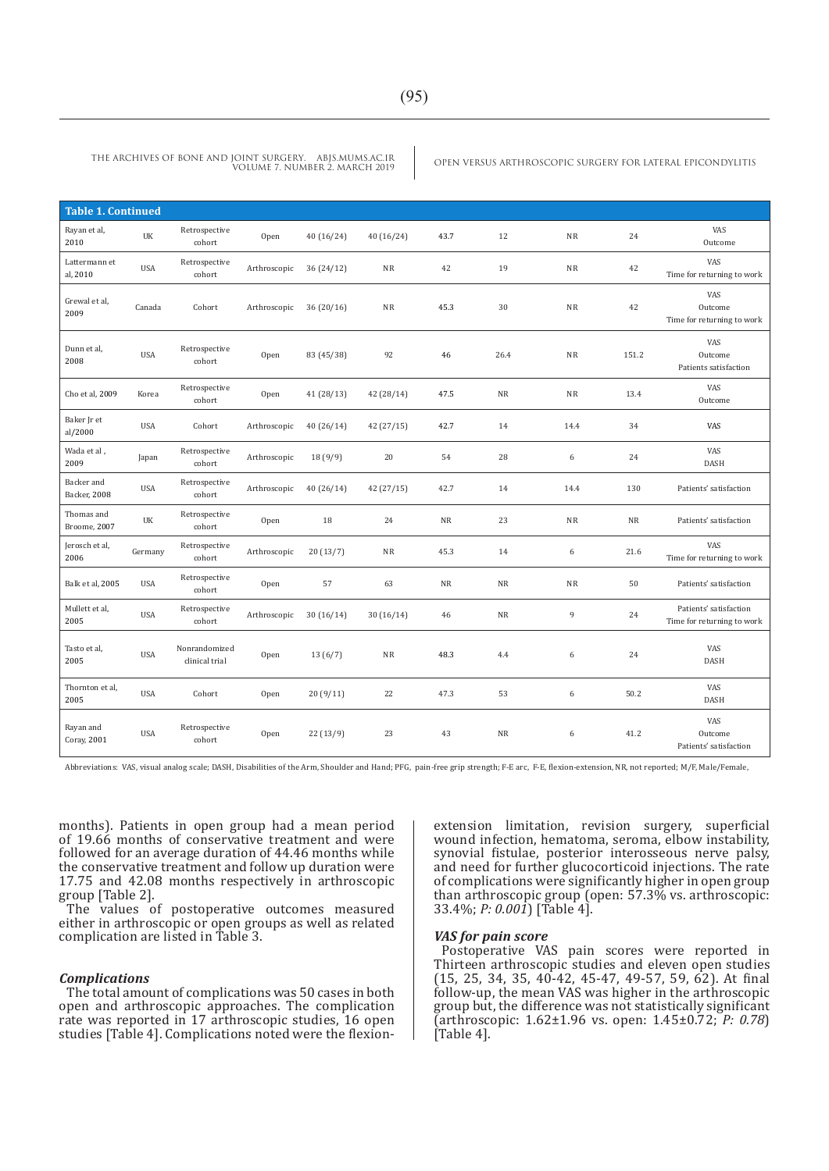| <b>Table 1. Continued</b>  |            |                                 |              |            |            |           |           |           |           |                                                      |
|----------------------------|------------|---------------------------------|--------------|------------|------------|-----------|-----------|-----------|-----------|------------------------------------------------------|
| Rayan et al,<br>2010       | UK         | Retrospective<br>cohort         | Open         | 40 (16/24) | 40(16/24)  | 43.7      | 12        | NR        | 24        | VAS<br>Outcome                                       |
| Lattermann et<br>al, 2010  | USA        | Retrospective<br>cohort         | Arthroscopic | 36(24/12)  | <b>NR</b>  | 42        | 19        | NR        | 42        | VAS<br>Time for returning to work                    |
| Grewal et al,<br>2009      | Canada     | Cohort                          | Arthroscopic | 36(20/16)  | NR         | 45.3      | 30        | NR        | 42        | VAS<br>Outcome<br>Time for returning to work         |
| Dunn et al,<br>2008        | <b>USA</b> | Retrospective<br>cohort         | Open         | 83 (45/38) | 92         | 46        | 26.4      | NR        | 151.2     | VAS<br>Outcome<br>Patients satisfaction              |
| Cho et al, 2009            | Korea      | Retrospective<br>cohort         | Open         | 41(28/13)  | 42 (28/14) | 47.5      | <b>NR</b> | <b>NR</b> | 13.4      | VAS<br>Outcome                                       |
| Baker Jr et<br>al/2000     | <b>USA</b> | Cohort                          | Arthroscopic | 40 (26/14) | 42(27/15)  | 42.7      | 14        | 14.4      | 34        | VAS                                                  |
| Wada et al,<br>2009        | Japan      | Retrospective<br>cohort         | Arthroscopic | 18(9/9)    | 20         | 54        | 28        | 6         | 24        | VAS<br><b>DASH</b>                                   |
| Backer and<br>Backer, 2008 | USA        | Retrospective<br>cohort         | Arthroscopic | 40(26/14)  | 42 (27/15) | 42.7      | 14        | 14.4      | 130       | Patients' satisfaction                               |
| Thomas and<br>Broome, 2007 | UK         | Retrospective<br>cohort         | Open         | 18         | 24         | <b>NR</b> | 23        | NR        | <b>NR</b> | Patients' satisfaction                               |
| Jerosch et al,<br>2006     | Germany    | Retrospective<br>cohort         | Arthroscopic | 20(13/7)   | <b>NR</b>  | 45.3      | 14        | 6         | 21.6      | VAS<br>Time for returning to work                    |
| Balk et al, 2005           | <b>USA</b> | Retrospective<br>cohort         | Open         | 57         | 63         | <b>NR</b> | NR        | NR        | 50        | Patients' satisfaction                               |
| Mullett et al,<br>2005     | <b>USA</b> | Retrospective<br>cohort         | Arthroscopic | 30(16/14)  | 30(16/14)  | 46        | NR        | 9         | 24        | Patients' satisfaction<br>Time for returning to work |
| Tasto et al,<br>2005       | <b>USA</b> | Nonrandomized<br>clinical trial | Open         | 13(6/7)    | <b>NR</b>  | 48.3      | 4.4       | 6         | 24        | VAS<br><b>DASH</b>                                   |
| Thornton et al,<br>2005    | <b>USA</b> | Cohort                          | Open         | 20(9/11)   | 22         | 47.3      | 53        | 6         | 50.2      | VAS<br><b>DASH</b>                                   |
| Rayan and<br>Coray, 2001   | <b>USA</b> | Retrospective<br>cohort         | Open         | 22(13/9)   | 23         | 43        | <b>NR</b> | 6         | 41.2      | <b>VAS</b><br>Outcome<br>Patients' satisfaction      |

Abbreviations: VAS, visual analog scale; DASH, Disabilities of the Arm, Shoulder and Hand; PFG, pain-free grip strength; F-E arc, F-E, flexion-extension, NR, not reported; M/F, Male/Female,

months). Patients in open group had a mean period of 19.66 months of conservative treatment and were followed for an average duration of 44.46 months while the conservative treatment and follow up duration were 17.75 and 42.08 months respectively in arthroscopic group [Table 2].

The values of postoperative outcomes measured either in arthroscopic or open groups as well as related complication are listed in Table 3.

#### *Complications*

The total amount of complications was 50 cases in both open and arthroscopic approaches. The complication rate was reported in 17 arthroscopic studies, 16 open studies [Table 4]. Complications noted were the flexionextension limitation, revision surgery, superficial wound infection, hematoma, seroma, elbow instability, synovial fistulae, posterior interosseous nerve palsy, and need for further glucocorticoid injections. The rate of complications were significantly higher in open group than arthroscopic group (open: 57.3% vs. arthroscopic: 33.4%; *P: 0.001*) [Table 4].

#### *VAS for pain score*

Postoperative VAS pain scores were reported in Thirteen arthroscopic studies and eleven open studies (15, 25, 34, 35, 40-42, 45-47, 49-57, 59, 62). At final follow-up, the mean VAS was higher in the arthroscopic group but, the difference was not statistically significant (arthroscopic: 1.62±1.96 vs. open: 1.45±0.72; *P: 0.78*) [Table 4].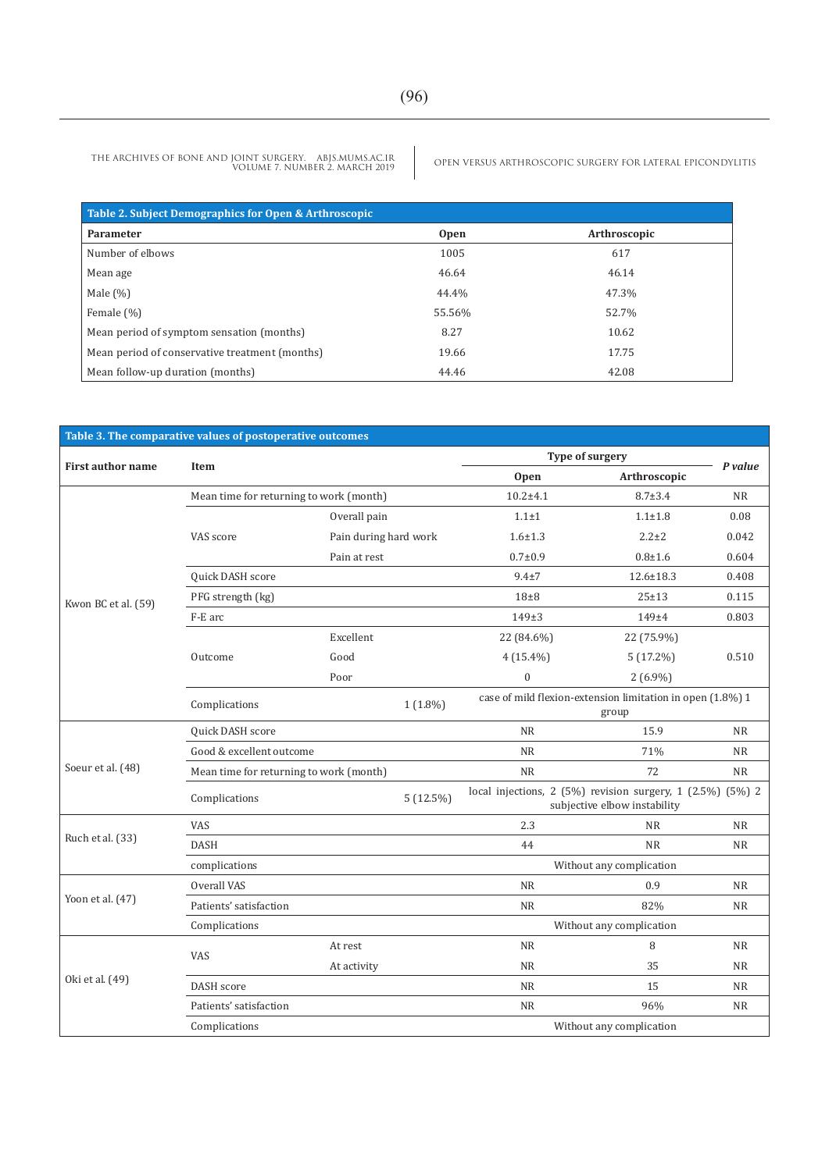| Table 2. Subject Demographics for Open & Arthroscopic |             |              |  |  |  |  |
|-------------------------------------------------------|-------------|--------------|--|--|--|--|
| Parameter                                             | <b>Open</b> | Arthroscopic |  |  |  |  |
| Number of elbows                                      | 1005        | 617          |  |  |  |  |
| Mean age                                              | 46.64       | 46.14        |  |  |  |  |
| Male $(\%)$                                           | 44.4%       | 47.3%        |  |  |  |  |
| Female $(\%)$                                         | 55.56%      | 52.7%        |  |  |  |  |
| Mean period of symptom sensation (months)             | 8.27        | 10.62        |  |  |  |  |
| Mean period of conservative treatment (months)        | 19.66       | 17.75        |  |  |  |  |
| Mean follow-up duration (months)                      | 44.46       | 42.08        |  |  |  |  |

| <b>First author name</b> | Item                                    |              |                                                                                                                                                                                                                                                                                                                                                                  | Open        |                                                                                                                                                                                                                                                                                                                                                                         |           |
|--------------------------|-----------------------------------------|--------------|------------------------------------------------------------------------------------------------------------------------------------------------------------------------------------------------------------------------------------------------------------------------------------------------------------------------------------------------------------------|-------------|-------------------------------------------------------------------------------------------------------------------------------------------------------------------------------------------------------------------------------------------------------------------------------------------------------------------------------------------------------------------------|-----------|
|                          | Mean time for returning to work (month) |              |                                                                                                                                                                                                                                                                                                                                                                  |             | $8.7 \pm 3.4$                                                                                                                                                                                                                                                                                                                                                           | <b>NR</b> |
|                          |                                         | Overall pain |                                                                                                                                                                                                                                                                                                                                                                  | $1.1 \pm 1$ | $1.1 + 1.8$                                                                                                                                                                                                                                                                                                                                                             | 0.08      |
|                          | VAS score                               |              |                                                                                                                                                                                                                                                                                                                                                                  | $1.6 + 1.3$ | Type of surgery<br>Arthroscopic<br>$2.2 \pm 2$<br>$0.8 + 1.6$<br>$12.6 \pm 18.3$<br>$25 + 13$<br>$149 + 4$<br>22 (75.9%)<br>$5(17.2\%)$<br>$2(6.9\%)$<br>group<br>15.9<br>71%<br>72<br>subjective elbow instability<br><b>NR</b><br><b>NR</b><br>Without any complication<br>0.9<br>82%<br>Without any complication<br>8<br>35<br>15<br>96%<br>Without any complication | 0.042     |
|                          |                                         | Pain at rest | Table 3. The comparative values of postoperative outcomes<br>$10.2 + 4.1$<br>Pain during hard work<br>$0.7 + 0.9$<br>$9.4 \pm 7$<br>$18\pm8$<br>$149+3$<br>22 (84.6%)<br>$4(15.4\%)$<br>$\boldsymbol{0}$<br>$1(1.8\%)$<br><b>NR</b><br><b>NR</b><br><b>NR</b><br>$5(12.5\%)$<br>2.3<br>44<br><b>NR</b><br><b>NR</b><br>NR<br><b>NR</b><br><b>NR</b><br><b>NR</b> | 0.604       |                                                                                                                                                                                                                                                                                                                                                                         |           |
|                          | Quick DASH score                        |              |                                                                                                                                                                                                                                                                                                                                                                  |             |                                                                                                                                                                                                                                                                                                                                                                         | 0.408     |
| Kwon BC et al. (59)      | PFG strength (kg)                       |              |                                                                                                                                                                                                                                                                                                                                                                  |             |                                                                                                                                                                                                                                                                                                                                                                         | 0.115     |
|                          | F-E arc                                 |              |                                                                                                                                                                                                                                                                                                                                                                  |             |                                                                                                                                                                                                                                                                                                                                                                         | 0.803     |
|                          |                                         | Excellent    |                                                                                                                                                                                                                                                                                                                                                                  |             | P value<br>0.510<br>case of mild flexion-extension limitation in open (1.8%) 1<br><b>NR</b><br><b>NR</b><br><b>NR</b><br>local injections, 2 (5%) revision surgery, 1 (2.5%) (5%) 2<br><b>NR</b><br><b>NR</b><br><b>NR</b><br><b>NR</b><br><b>NR</b><br><b>NR</b><br><b>NR</b><br><b>NR</b>                                                                             |           |
|                          | Outcome                                 | Good         |                                                                                                                                                                                                                                                                                                                                                                  |             |                                                                                                                                                                                                                                                                                                                                                                         |           |
|                          |                                         | Poor         |                                                                                                                                                                                                                                                                                                                                                                  |             |                                                                                                                                                                                                                                                                                                                                                                         |           |
|                          | Complications                           |              |                                                                                                                                                                                                                                                                                                                                                                  |             |                                                                                                                                                                                                                                                                                                                                                                         |           |
|                          | Quick DASH score                        |              |                                                                                                                                                                                                                                                                                                                                                                  |             |                                                                                                                                                                                                                                                                                                                                                                         |           |
|                          | Good & excellent outcome                |              |                                                                                                                                                                                                                                                                                                                                                                  |             |                                                                                                                                                                                                                                                                                                                                                                         |           |
| Soeur et al. (48)        | Mean time for returning to work (month) |              |                                                                                                                                                                                                                                                                                                                                                                  |             |                                                                                                                                                                                                                                                                                                                                                                         |           |
|                          | Complications                           |              |                                                                                                                                                                                                                                                                                                                                                                  |             |                                                                                                                                                                                                                                                                                                                                                                         |           |
|                          | <b>VAS</b>                              |              |                                                                                                                                                                                                                                                                                                                                                                  |             |                                                                                                                                                                                                                                                                                                                                                                         |           |
| Ruch et al. (33)         | <b>DASH</b>                             |              |                                                                                                                                                                                                                                                                                                                                                                  |             |                                                                                                                                                                                                                                                                                                                                                                         |           |
|                          | complications                           |              |                                                                                                                                                                                                                                                                                                                                                                  |             |                                                                                                                                                                                                                                                                                                                                                                         |           |
|                          | Overall VAS                             |              |                                                                                                                                                                                                                                                                                                                                                                  |             |                                                                                                                                                                                                                                                                                                                                                                         |           |
| Yoon et al. $(47)$       | Patients' satisfaction                  |              |                                                                                                                                                                                                                                                                                                                                                                  |             |                                                                                                                                                                                                                                                                                                                                                                         |           |
|                          | Complications                           |              |                                                                                                                                                                                                                                                                                                                                                                  |             |                                                                                                                                                                                                                                                                                                                                                                         |           |
|                          | <b>VAS</b>                              | At rest      |                                                                                                                                                                                                                                                                                                                                                                  |             |                                                                                                                                                                                                                                                                                                                                                                         |           |
|                          |                                         | At activity  |                                                                                                                                                                                                                                                                                                                                                                  |             |                                                                                                                                                                                                                                                                                                                                                                         |           |
| Oki et al. (49)          | DASH score                              |              |                                                                                                                                                                                                                                                                                                                                                                  |             |                                                                                                                                                                                                                                                                                                                                                                         |           |
|                          | Patients' satisfaction                  |              |                                                                                                                                                                                                                                                                                                                                                                  |             |                                                                                                                                                                                                                                                                                                                                                                         |           |
|                          | Complications                           |              |                                                                                                                                                                                                                                                                                                                                                                  |             |                                                                                                                                                                                                                                                                                                                                                                         |           |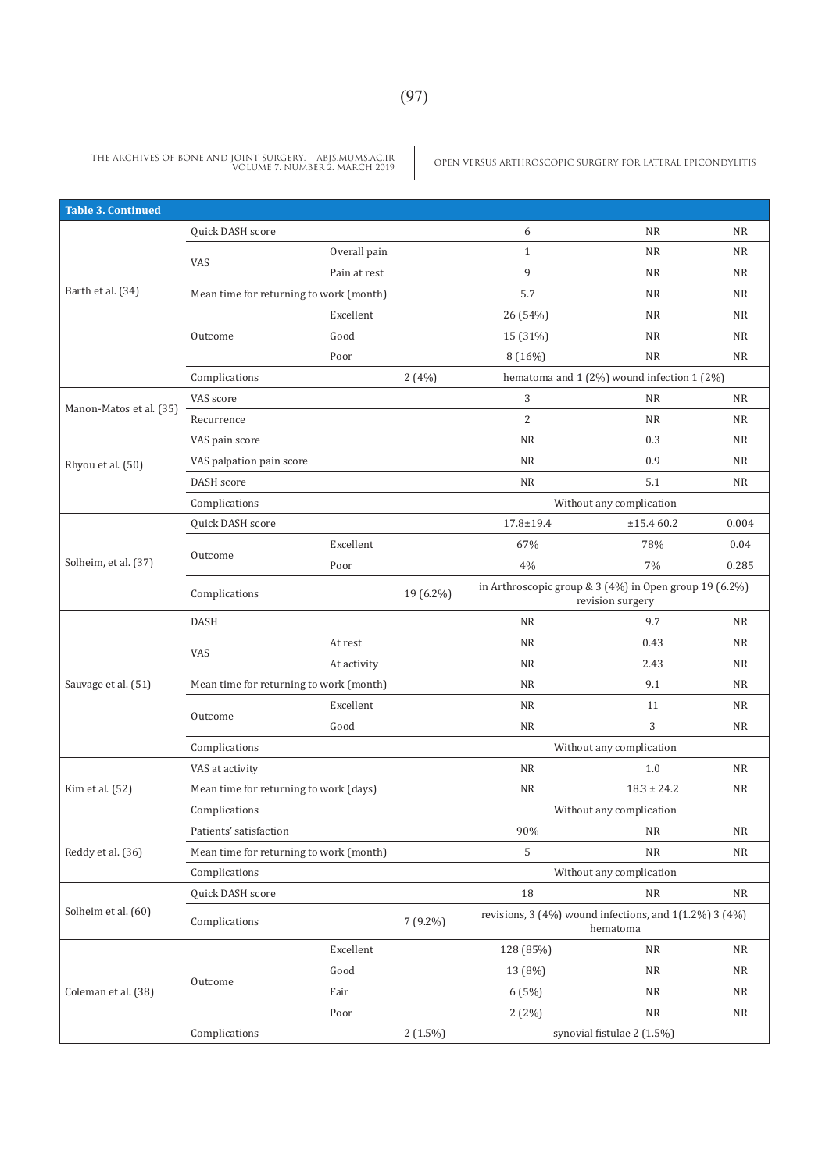| <b>Table 3. Continued</b> |                                                                                                                                                                                                                                                                                                                                                                                                                                                                                                                                                                   |                                                                                                                                                                                                                                                                                                                                                                                                                                                                                                                                                                                                                                                                                                                                                                                                                                                                                                                                                                                                                                                                         |                                                                                                                                                                                                                                                                                                                                                                                                      |   |           |           |
|---------------------------|-------------------------------------------------------------------------------------------------------------------------------------------------------------------------------------------------------------------------------------------------------------------------------------------------------------------------------------------------------------------------------------------------------------------------------------------------------------------------------------------------------------------------------------------------------------------|-------------------------------------------------------------------------------------------------------------------------------------------------------------------------------------------------------------------------------------------------------------------------------------------------------------------------------------------------------------------------------------------------------------------------------------------------------------------------------------------------------------------------------------------------------------------------------------------------------------------------------------------------------------------------------------------------------------------------------------------------------------------------------------------------------------------------------------------------------------------------------------------------------------------------------------------------------------------------------------------------------------------------------------------------------------------------|------------------------------------------------------------------------------------------------------------------------------------------------------------------------------------------------------------------------------------------------------------------------------------------------------------------------------------------------------------------------------------------------------|---|-----------|-----------|
|                           | Quick DASH score                                                                                                                                                                                                                                                                                                                                                                                                                                                                                                                                                  |                                                                                                                                                                                                                                                                                                                                                                                                                                                                                                                                                                                                                                                                                                                                                                                                                                                                                                                                                                                                                                                                         |                                                                                                                                                                                                                                                                                                                                                                                                      | 6 | <b>NR</b> | <b>NR</b> |
|                           |                                                                                                                                                                                                                                                                                                                                                                                                                                                                                                                                                                   | Overall pain<br>$\mathbf{1}$<br><b>NR</b><br>9<br>Pain at rest<br><b>NR</b><br>5.7<br><b>NR</b><br>Excellent<br>26 (54%)<br><b>NR</b><br>Good<br>15 (31%)<br><b>NR</b><br>8 (16%)<br><b>NR</b><br>Poor<br>2(4%)<br>hematoma and 1 (2%) wound infection 1 (2%)<br>3<br><b>NR</b><br>2<br><b>NR</b><br>NR<br>0.3<br>NR<br>0.9<br><b>NR</b><br>5.1<br>Without any complication<br>$17.8 \pm 19.4$<br>±15.460.2<br>67%<br>Excellent<br>78%<br>$7\%$<br>4%<br>Poor<br>19 (6.2%)<br>revision surgery<br><b>NR</b><br>9.7<br><b>NR</b><br>At rest<br>0.43<br><b>NR</b><br>2.43<br>At activity<br><b>NR</b><br>9.1<br>Excellent<br><b>NR</b><br>11<br>Good<br>3<br>NR<br>Without any complication<br>1.0<br>NR<br><b>NR</b><br>$18.3 \pm 24.2$<br>Without any complication<br>90%<br><b>NR</b><br>5<br><b>NR</b><br>Without any complication<br>18<br>NR<br>revisions, $3(4\%)$ wound infections, and $1(1.2\%)$ $3(4\%)$<br>$7(9.2\%)$<br>hematoma<br>Excellent<br>128 (85%)<br><b>NR</b><br>Good<br>13 (8%)<br><b>NR</b><br>Fair<br>6(5%)<br><b>NR</b><br>Poor<br>2(2%)<br>NR | <b>NR</b>                                                                                                                                                                                                                                                                                                                                                                                            |   |           |           |
|                           |                                                                                                                                                                                                                                                                                                                                                                                                                                                                                                                                                                   |                                                                                                                                                                                                                                                                                                                                                                                                                                                                                                                                                                                                                                                                                                                                                                                                                                                                                                                                                                                                                                                                         |                                                                                                                                                                                                                                                                                                                                                                                                      |   |           | <b>NR</b> |
| Barth et al. (34)         |                                                                                                                                                                                                                                                                                                                                                                                                                                                                                                                                                                   |                                                                                                                                                                                                                                                                                                                                                                                                                                                                                                                                                                                                                                                                                                                                                                                                                                                                                                                                                                                                                                                                         |                                                                                                                                                                                                                                                                                                                                                                                                      |   |           | NR        |
|                           |                                                                                                                                                                                                                                                                                                                                                                                                                                                                                                                                                                   |                                                                                                                                                                                                                                                                                                                                                                                                                                                                                                                                                                                                                                                                                                                                                                                                                                                                                                                                                                                                                                                                         | <b>NR</b><br><b>NR</b><br><b>NR</b><br><b>NR</b><br><b>NR</b><br><b>NR</b><br>NR<br><b>NR</b><br>0.004<br>0.04<br>0.285<br>in Arthroscopic group & 3 (4%) in Open group 19 (6.2%)<br><b>NR</b><br><b>NR</b><br><b>NR</b><br><b>NR</b><br><b>NR</b><br><b>NR</b><br><b>NR</b><br><b>NR</b><br><b>NR</b><br><b>NR</b><br>NR<br>NR<br>NR<br><b>NR</b><br>NR<br>$2(1.5\%)$<br>synovial fistulae 2 (1.5%) |   |           |           |
|                           | VAS<br>Mean time for returning to work (month)<br>Outcome<br>Complications<br>VAS score<br>Recurrence<br>VAS pain score<br>VAS palpation pain score<br>DASH score<br>Complications<br>Quick DASH score<br>Outcome<br>Complications<br><b>DASH</b><br><b>VAS</b><br>Mean time for returning to work (month)<br>Outcome<br>Complications<br>VAS at activity<br>Mean time for returning to work (days)<br>Complications<br>Patients' satisfaction<br>Mean time for returning to work (month)<br>Complications<br><b>Quick DASH score</b><br>Complications<br>Outcome |                                                                                                                                                                                                                                                                                                                                                                                                                                                                                                                                                                                                                                                                                                                                                                                                                                                                                                                                                                                                                                                                         |                                                                                                                                                                                                                                                                                                                                                                                                      |   |           |           |
|                           |                                                                                                                                                                                                                                                                                                                                                                                                                                                                                                                                                                   |                                                                                                                                                                                                                                                                                                                                                                                                                                                                                                                                                                                                                                                                                                                                                                                                                                                                                                                                                                                                                                                                         |                                                                                                                                                                                                                                                                                                                                                                                                      |   |           |           |
|                           |                                                                                                                                                                                                                                                                                                                                                                                                                                                                                                                                                                   |                                                                                                                                                                                                                                                                                                                                                                                                                                                                                                                                                                                                                                                                                                                                                                                                                                                                                                                                                                                                                                                                         |                                                                                                                                                                                                                                                                                                                                                                                                      |   |           |           |
|                           |                                                                                                                                                                                                                                                                                                                                                                                                                                                                                                                                                                   |                                                                                                                                                                                                                                                                                                                                                                                                                                                                                                                                                                                                                                                                                                                                                                                                                                                                                                                                                                                                                                                                         |                                                                                                                                                                                                                                                                                                                                                                                                      |   |           |           |
| Manon-Matos et al. (35)   |                                                                                                                                                                                                                                                                                                                                                                                                                                                                                                                                                                   |                                                                                                                                                                                                                                                                                                                                                                                                                                                                                                                                                                                                                                                                                                                                                                                                                                                                                                                                                                                                                                                                         |                                                                                                                                                                                                                                                                                                                                                                                                      |   |           |           |
|                           |                                                                                                                                                                                                                                                                                                                                                                                                                                                                                                                                                                   |                                                                                                                                                                                                                                                                                                                                                                                                                                                                                                                                                                                                                                                                                                                                                                                                                                                                                                                                                                                                                                                                         |                                                                                                                                                                                                                                                                                                                                                                                                      |   |           |           |
| Rhyou et al. (50)         |                                                                                                                                                                                                                                                                                                                                                                                                                                                                                                                                                                   |                                                                                                                                                                                                                                                                                                                                                                                                                                                                                                                                                                                                                                                                                                                                                                                                                                                                                                                                                                                                                                                                         |                                                                                                                                                                                                                                                                                                                                                                                                      |   |           |           |
|                           |                                                                                                                                                                                                                                                                                                                                                                                                                                                                                                                                                                   |                                                                                                                                                                                                                                                                                                                                                                                                                                                                                                                                                                                                                                                                                                                                                                                                                                                                                                                                                                                                                                                                         |                                                                                                                                                                                                                                                                                                                                                                                                      |   |           |           |
|                           |                                                                                                                                                                                                                                                                                                                                                                                                                                                                                                                                                                   |                                                                                                                                                                                                                                                                                                                                                                                                                                                                                                                                                                                                                                                                                                                                                                                                                                                                                                                                                                                                                                                                         |                                                                                                                                                                                                                                                                                                                                                                                                      |   |           |           |
|                           |                                                                                                                                                                                                                                                                                                                                                                                                                                                                                                                                                                   |                                                                                                                                                                                                                                                                                                                                                                                                                                                                                                                                                                                                                                                                                                                                                                                                                                                                                                                                                                                                                                                                         |                                                                                                                                                                                                                                                                                                                                                                                                      |   |           |           |
|                           |                                                                                                                                                                                                                                                                                                                                                                                                                                                                                                                                                                   |                                                                                                                                                                                                                                                                                                                                                                                                                                                                                                                                                                                                                                                                                                                                                                                                                                                                                                                                                                                                                                                                         |                                                                                                                                                                                                                                                                                                                                                                                                      |   |           |           |
| Solheim, et al. (37)      |                                                                                                                                                                                                                                                                                                                                                                                                                                                                                                                                                                   |                                                                                                                                                                                                                                                                                                                                                                                                                                                                                                                                                                                                                                                                                                                                                                                                                                                                                                                                                                                                                                                                         |                                                                                                                                                                                                                                                                                                                                                                                                      |   |           |           |
|                           |                                                                                                                                                                                                                                                                                                                                                                                                                                                                                                                                                                   |                                                                                                                                                                                                                                                                                                                                                                                                                                                                                                                                                                                                                                                                                                                                                                                                                                                                                                                                                                                                                                                                         |                                                                                                                                                                                                                                                                                                                                                                                                      |   |           |           |
|                           |                                                                                                                                                                                                                                                                                                                                                                                                                                                                                                                                                                   |                                                                                                                                                                                                                                                                                                                                                                                                                                                                                                                                                                                                                                                                                                                                                                                                                                                                                                                                                                                                                                                                         |                                                                                                                                                                                                                                                                                                                                                                                                      |   |           |           |
|                           |                                                                                                                                                                                                                                                                                                                                                                                                                                                                                                                                                                   |                                                                                                                                                                                                                                                                                                                                                                                                                                                                                                                                                                                                                                                                                                                                                                                                                                                                                                                                                                                                                                                                         |                                                                                                                                                                                                                                                                                                                                                                                                      |   |           |           |
|                           |                                                                                                                                                                                                                                                                                                                                                                                                                                                                                                                                                                   |                                                                                                                                                                                                                                                                                                                                                                                                                                                                                                                                                                                                                                                                                                                                                                                                                                                                                                                                                                                                                                                                         |                                                                                                                                                                                                                                                                                                                                                                                                      |   |           |           |
| Sauvage et al. (51)       |                                                                                                                                                                                                                                                                                                                                                                                                                                                                                                                                                                   |                                                                                                                                                                                                                                                                                                                                                                                                                                                                                                                                                                                                                                                                                                                                                                                                                                                                                                                                                                                                                                                                         |                                                                                                                                                                                                                                                                                                                                                                                                      |   |           |           |
|                           |                                                                                                                                                                                                                                                                                                                                                                                                                                                                                                                                                                   |                                                                                                                                                                                                                                                                                                                                                                                                                                                                                                                                                                                                                                                                                                                                                                                                                                                                                                                                                                                                                                                                         |                                                                                                                                                                                                                                                                                                                                                                                                      |   |           |           |
|                           |                                                                                                                                                                                                                                                                                                                                                                                                                                                                                                                                                                   |                                                                                                                                                                                                                                                                                                                                                                                                                                                                                                                                                                                                                                                                                                                                                                                                                                                                                                                                                                                                                                                                         |                                                                                                                                                                                                                                                                                                                                                                                                      |   |           |           |
|                           |                                                                                                                                                                                                                                                                                                                                                                                                                                                                                                                                                                   |                                                                                                                                                                                                                                                                                                                                                                                                                                                                                                                                                                                                                                                                                                                                                                                                                                                                                                                                                                                                                                                                         |                                                                                                                                                                                                                                                                                                                                                                                                      |   |           |           |
|                           |                                                                                                                                                                                                                                                                                                                                                                                                                                                                                                                                                                   |                                                                                                                                                                                                                                                                                                                                                                                                                                                                                                                                                                                                                                                                                                                                                                                                                                                                                                                                                                                                                                                                         |                                                                                                                                                                                                                                                                                                                                                                                                      |   |           |           |
| Kim et al. (52)           |                                                                                                                                                                                                                                                                                                                                                                                                                                                                                                                                                                   |                                                                                                                                                                                                                                                                                                                                                                                                                                                                                                                                                                                                                                                                                                                                                                                                                                                                                                                                                                                                                                                                         |                                                                                                                                                                                                                                                                                                                                                                                                      |   |           |           |
|                           |                                                                                                                                                                                                                                                                                                                                                                                                                                                                                                                                                                   |                                                                                                                                                                                                                                                                                                                                                                                                                                                                                                                                                                                                                                                                                                                                                                                                                                                                                                                                                                                                                                                                         |                                                                                                                                                                                                                                                                                                                                                                                                      |   |           |           |
|                           |                                                                                                                                                                                                                                                                                                                                                                                                                                                                                                                                                                   |                                                                                                                                                                                                                                                                                                                                                                                                                                                                                                                                                                                                                                                                                                                                                                                                                                                                                                                                                                                                                                                                         |                                                                                                                                                                                                                                                                                                                                                                                                      |   |           |           |
| Reddy et al. (36)         |                                                                                                                                                                                                                                                                                                                                                                                                                                                                                                                                                                   |                                                                                                                                                                                                                                                                                                                                                                                                                                                                                                                                                                                                                                                                                                                                                                                                                                                                                                                                                                                                                                                                         |                                                                                                                                                                                                                                                                                                                                                                                                      |   |           |           |
|                           |                                                                                                                                                                                                                                                                                                                                                                                                                                                                                                                                                                   |                                                                                                                                                                                                                                                                                                                                                                                                                                                                                                                                                                                                                                                                                                                                                                                                                                                                                                                                                                                                                                                                         |                                                                                                                                                                                                                                                                                                                                                                                                      |   |           |           |
|                           |                                                                                                                                                                                                                                                                                                                                                                                                                                                                                                                                                                   |                                                                                                                                                                                                                                                                                                                                                                                                                                                                                                                                                                                                                                                                                                                                                                                                                                                                                                                                                                                                                                                                         |                                                                                                                                                                                                                                                                                                                                                                                                      |   |           |           |
| Solheim et al. (60)       |                                                                                                                                                                                                                                                                                                                                                                                                                                                                                                                                                                   |                                                                                                                                                                                                                                                                                                                                                                                                                                                                                                                                                                                                                                                                                                                                                                                                                                                                                                                                                                                                                                                                         |                                                                                                                                                                                                                                                                                                                                                                                                      |   |           |           |
|                           |                                                                                                                                                                                                                                                                                                                                                                                                                                                                                                                                                                   |                                                                                                                                                                                                                                                                                                                                                                                                                                                                                                                                                                                                                                                                                                                                                                                                                                                                                                                                                                                                                                                                         |                                                                                                                                                                                                                                                                                                                                                                                                      |   |           |           |
|                           |                                                                                                                                                                                                                                                                                                                                                                                                                                                                                                                                                                   |                                                                                                                                                                                                                                                                                                                                                                                                                                                                                                                                                                                                                                                                                                                                                                                                                                                                                                                                                                                                                                                                         |                                                                                                                                                                                                                                                                                                                                                                                                      |   |           |           |
| Coleman et al. (38)       |                                                                                                                                                                                                                                                                                                                                                                                                                                                                                                                                                                   |                                                                                                                                                                                                                                                                                                                                                                                                                                                                                                                                                                                                                                                                                                                                                                                                                                                                                                                                                                                                                                                                         |                                                                                                                                                                                                                                                                                                                                                                                                      |   |           |           |
|                           |                                                                                                                                                                                                                                                                                                                                                                                                                                                                                                                                                                   |                                                                                                                                                                                                                                                                                                                                                                                                                                                                                                                                                                                                                                                                                                                                                                                                                                                                                                                                                                                                                                                                         |                                                                                                                                                                                                                                                                                                                                                                                                      |   |           |           |
|                           | Complications                                                                                                                                                                                                                                                                                                                                                                                                                                                                                                                                                     |                                                                                                                                                                                                                                                                                                                                                                                                                                                                                                                                                                                                                                                                                                                                                                                                                                                                                                                                                                                                                                                                         |                                                                                                                                                                                                                                                                                                                                                                                                      |   |           |           |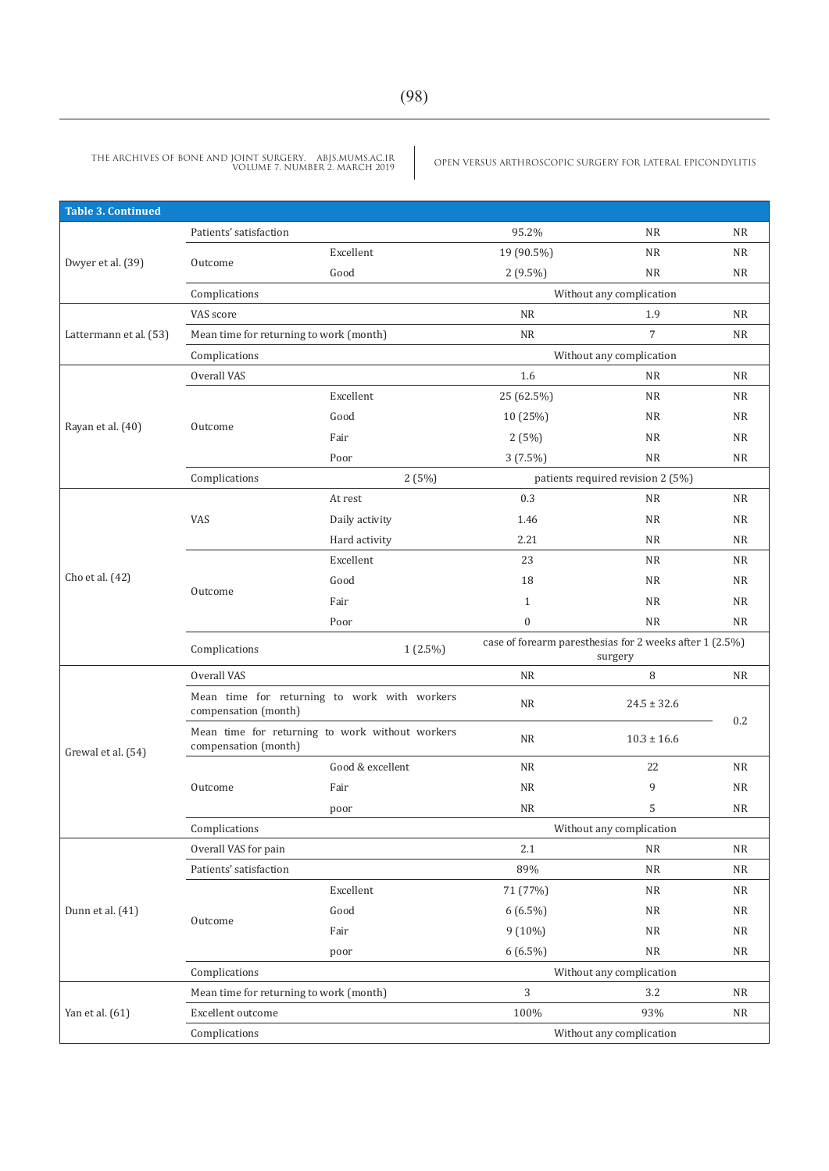| <b>Table 3. Continued</b>                                                                                                                                                                                                                                                                                                                                                                                                                                                                                   |                        |                                                                                                                                                                                                                                                                                                                                                                                                                                                                                                                                                               |                          |                                                                                                                                                                                                                                                                                                                                                                                                                                                                    |           |
|-------------------------------------------------------------------------------------------------------------------------------------------------------------------------------------------------------------------------------------------------------------------------------------------------------------------------------------------------------------------------------------------------------------------------------------------------------------------------------------------------------------|------------------------|---------------------------------------------------------------------------------------------------------------------------------------------------------------------------------------------------------------------------------------------------------------------------------------------------------------------------------------------------------------------------------------------------------------------------------------------------------------------------------------------------------------------------------------------------------------|--------------------------|--------------------------------------------------------------------------------------------------------------------------------------------------------------------------------------------------------------------------------------------------------------------------------------------------------------------------------------------------------------------------------------------------------------------------------------------------------------------|-----------|
|                                                                                                                                                                                                                                                                                                                                                                                                                                                                                                             | Patients' satisfaction |                                                                                                                                                                                                                                                                                                                                                                                                                                                                                                                                                               | 95.2%                    | <b>NR</b>                                                                                                                                                                                                                                                                                                                                                                                                                                                          | <b>NR</b> |
|                                                                                                                                                                                                                                                                                                                                                                                                                                                                                                             |                        | Excellent                                                                                                                                                                                                                                                                                                                                                                                                                                                                                                                                                     | 19 (90.5%)               | <b>NR</b>                                                                                                                                                                                                                                                                                                                                                                                                                                                          | <b>NR</b> |
|                                                                                                                                                                                                                                                                                                                                                                                                                                                                                                             |                        | Good                                                                                                                                                                                                                                                                                                                                                                                                                                                                                                                                                          | $2(9.5\%)$               | <b>NR</b>                                                                                                                                                                                                                                                                                                                                                                                                                                                          | <b>NR</b> |
|                                                                                                                                                                                                                                                                                                                                                                                                                                                                                                             | Complications          |                                                                                                                                                                                                                                                                                                                                                                                                                                                                                                                                                               |                          |                                                                                                                                                                                                                                                                                                                                                                                                                                                                    |           |
|                                                                                                                                                                                                                                                                                                                                                                                                                                                                                                             | VAS score              |                                                                                                                                                                                                                                                                                                                                                                                                                                                                                                                                                               | NR                       | 1.9<br>$\overline{7}$<br><b>NR</b><br><b>NR</b><br><b>NR</b><br><b>NR</b><br><b>NR</b><br><b>NR</b><br><b>NR</b><br><b>NR</b><br><b>NR</b><br><b>NR</b><br><b>NR</b><br><b>NR</b><br>8<br>$24.5 \pm 32.6$<br>$10.3 \pm 16.6$<br>22<br>9<br>5<br><b>NR</b><br><b>NR</b><br><b>NR</b><br><b>NR</b><br><b>NR</b><br><b>NR</b><br>3.2<br>93%                                                                                                                           | <b>NR</b> |
| Lattermann et al. (53)                                                                                                                                                                                                                                                                                                                                                                                                                                                                                      |                        |                                                                                                                                                                                                                                                                                                                                                                                                                                                                                                                                                               | <b>NR</b>                |                                                                                                                                                                                                                                                                                                                                                                                                                                                                    | <b>NR</b> |
|                                                                                                                                                                                                                                                                                                                                                                                                                                                                                                             | Complications          |                                                                                                                                                                                                                                                                                                                                                                                                                                                                                                                                                               |                          |                                                                                                                                                                                                                                                                                                                                                                                                                                                                    |           |
|                                                                                                                                                                                                                                                                                                                                                                                                                                                                                                             | Overall VAS            |                                                                                                                                                                                                                                                                                                                                                                                                                                                                                                                                                               | 1.6                      | Without any complication<br>Without any complication<br><b>NR</b><br><b>NR</b><br>NR<br><b>NR</b><br><b>NR</b><br>patients required revision 2 (5%)<br><b>NR</b><br><b>NR</b><br><b>NR</b><br>NR<br><b>NR</b><br><b>NR</b><br>$\mathbf{1}$<br><b>NR</b><br>surgery<br><b>NR</b><br>0.2<br>NR<br><b>NR</b><br><b>NR</b><br>Without any complication<br>NR<br><b>NR</b><br>NR<br>${\rm NR}$<br>${\rm NR}$<br><b>NR</b><br>Without any complication<br>3<br><b>NR</b> |           |
|                                                                                                                                                                                                                                                                                                                                                                                                                                                                                                             |                        | Excellent<br>25 (62.5%)<br>Good<br>10 (25%)<br>Fair<br>2(5%)<br>Poor<br>$3(7.5\%)$<br>2(5%)<br>0.3<br>At rest<br>Daily activity<br>1.46<br>2.21<br>Hard activity<br>Excellent<br>23<br>Good<br>18<br>Fair<br>Poor<br>$\boldsymbol{0}$<br>case of forearm paresthesias for 2 weeks after 1 (2.5%)<br>$1(2.5\%)$<br><b>NR</b><br><b>NR</b><br><b>NR</b><br>Good & excellent<br><b>NR</b><br><b>NR</b><br>Fair<br><b>NR</b><br>poor<br>2.1<br>89%<br>Excellent<br>71 (77%)<br>Good<br>$6(6.5\%)$<br>$9(10\%)$<br>Fair<br>$6(6.5\%)$<br>poor<br>100%<br><b>NR</b> |                          |                                                                                                                                                                                                                                                                                                                                                                                                                                                                    |           |
|                                                                                                                                                                                                                                                                                                                                                                                                                                                                                                             |                        |                                                                                                                                                                                                                                                                                                                                                                                                                                                                                                                                                               | Without any complication |                                                                                                                                                                                                                                                                                                                                                                                                                                                                    |           |
|                                                                                                                                                                                                                                                                                                                                                                                                                                                                                                             |                        |                                                                                                                                                                                                                                                                                                                                                                                                                                                                                                                                                               |                          |                                                                                                                                                                                                                                                                                                                                                                                                                                                                    |           |
| Dwyer et al. (39)<br>Outcome<br>Mean time for returning to work (month)<br>Rayan et al. (40)<br>Outcome<br>Complications<br><b>VAS</b><br>Cho et al. (42)<br>Outcome<br>Complications<br>Overall VAS<br>Mean time for returning to work with workers<br>compensation (month)<br>Mean time for returning to work without workers<br>compensation (month)<br>Grewal et al. (54)<br>Outcome<br>Complications<br>Overall VAS for pain<br>Patients' satisfaction<br>Dunn et al. (41)<br>Outcome<br>Complications |                        |                                                                                                                                                                                                                                                                                                                                                                                                                                                                                                                                                               |                          |                                                                                                                                                                                                                                                                                                                                                                                                                                                                    |           |
|                                                                                                                                                                                                                                                                                                                                                                                                                                                                                                             |                        |                                                                                                                                                                                                                                                                                                                                                                                                                                                                                                                                                               |                          |                                                                                                                                                                                                                                                                                                                                                                                                                                                                    |           |
|                                                                                                                                                                                                                                                                                                                                                                                                                                                                                                             |                        |                                                                                                                                                                                                                                                                                                                                                                                                                                                                                                                                                               |                          |                                                                                                                                                                                                                                                                                                                                                                                                                                                                    |           |
|                                                                                                                                                                                                                                                                                                                                                                                                                                                                                                             |                        |                                                                                                                                                                                                                                                                                                                                                                                                                                                                                                                                                               |                          |                                                                                                                                                                                                                                                                                                                                                                                                                                                                    |           |
| Mean time for returning to work (month)<br>Yan et al. (61)<br>Excellent outcome<br>Complications                                                                                                                                                                                                                                                                                                                                                                                                            |                        |                                                                                                                                                                                                                                                                                                                                                                                                                                                                                                                                                               |                          |                                                                                                                                                                                                                                                                                                                                                                                                                                                                    |           |
|                                                                                                                                                                                                                                                                                                                                                                                                                                                                                                             |                        |                                                                                                                                                                                                                                                                                                                                                                                                                                                                                                                                                               |                          |                                                                                                                                                                                                                                                                                                                                                                                                                                                                    |           |
|                                                                                                                                                                                                                                                                                                                                                                                                                                                                                                             |                        |                                                                                                                                                                                                                                                                                                                                                                                                                                                                                                                                                               |                          |                                                                                                                                                                                                                                                                                                                                                                                                                                                                    |           |
|                                                                                                                                                                                                                                                                                                                                                                                                                                                                                                             |                        |                                                                                                                                                                                                                                                                                                                                                                                                                                                                                                                                                               |                          |                                                                                                                                                                                                                                                                                                                                                                                                                                                                    |           |
|                                                                                                                                                                                                                                                                                                                                                                                                                                                                                                             |                        |                                                                                                                                                                                                                                                                                                                                                                                                                                                                                                                                                               |                          |                                                                                                                                                                                                                                                                                                                                                                                                                                                                    |           |
|                                                                                                                                                                                                                                                                                                                                                                                                                                                                                                             |                        |                                                                                                                                                                                                                                                                                                                                                                                                                                                                                                                                                               |                          |                                                                                                                                                                                                                                                                                                                                                                                                                                                                    |           |
|                                                                                                                                                                                                                                                                                                                                                                                                                                                                                                             |                        |                                                                                                                                                                                                                                                                                                                                                                                                                                                                                                                                                               |                          |                                                                                                                                                                                                                                                                                                                                                                                                                                                                    |           |
|                                                                                                                                                                                                                                                                                                                                                                                                                                                                                                             |                        |                                                                                                                                                                                                                                                                                                                                                                                                                                                                                                                                                               |                          |                                                                                                                                                                                                                                                                                                                                                                                                                                                                    |           |
|                                                                                                                                                                                                                                                                                                                                                                                                                                                                                                             |                        |                                                                                                                                                                                                                                                                                                                                                                                                                                                                                                                                                               |                          |                                                                                                                                                                                                                                                                                                                                                                                                                                                                    |           |
|                                                                                                                                                                                                                                                                                                                                                                                                                                                                                                             |                        |                                                                                                                                                                                                                                                                                                                                                                                                                                                                                                                                                               |                          |                                                                                                                                                                                                                                                                                                                                                                                                                                                                    |           |
|                                                                                                                                                                                                                                                                                                                                                                                                                                                                                                             |                        |                                                                                                                                                                                                                                                                                                                                                                                                                                                                                                                                                               |                          |                                                                                                                                                                                                                                                                                                                                                                                                                                                                    |           |
|                                                                                                                                                                                                                                                                                                                                                                                                                                                                                                             |                        |                                                                                                                                                                                                                                                                                                                                                                                                                                                                                                                                                               |                          |                                                                                                                                                                                                                                                                                                                                                                                                                                                                    |           |
|                                                                                                                                                                                                                                                                                                                                                                                                                                                                                                             |                        |                                                                                                                                                                                                                                                                                                                                                                                                                                                                                                                                                               |                          |                                                                                                                                                                                                                                                                                                                                                                                                                                                                    |           |
|                                                                                                                                                                                                                                                                                                                                                                                                                                                                                                             |                        |                                                                                                                                                                                                                                                                                                                                                                                                                                                                                                                                                               |                          |                                                                                                                                                                                                                                                                                                                                                                                                                                                                    |           |
|                                                                                                                                                                                                                                                                                                                                                                                                                                                                                                             |                        |                                                                                                                                                                                                                                                                                                                                                                                                                                                                                                                                                               |                          |                                                                                                                                                                                                                                                                                                                                                                                                                                                                    |           |
|                                                                                                                                                                                                                                                                                                                                                                                                                                                                                                             |                        |                                                                                                                                                                                                                                                                                                                                                                                                                                                                                                                                                               |                          |                                                                                                                                                                                                                                                                                                                                                                                                                                                                    |           |
|                                                                                                                                                                                                                                                                                                                                                                                                                                                                                                             |                        |                                                                                                                                                                                                                                                                                                                                                                                                                                                                                                                                                               |                          |                                                                                                                                                                                                                                                                                                                                                                                                                                                                    |           |
|                                                                                                                                                                                                                                                                                                                                                                                                                                                                                                             |                        |                                                                                                                                                                                                                                                                                                                                                                                                                                                                                                                                                               |                          |                                                                                                                                                                                                                                                                                                                                                                                                                                                                    |           |
|                                                                                                                                                                                                                                                                                                                                                                                                                                                                                                             |                        |                                                                                                                                                                                                                                                                                                                                                                                                                                                                                                                                                               |                          |                                                                                                                                                                                                                                                                                                                                                                                                                                                                    |           |
|                                                                                                                                                                                                                                                                                                                                                                                                                                                                                                             |                        |                                                                                                                                                                                                                                                                                                                                                                                                                                                                                                                                                               |                          |                                                                                                                                                                                                                                                                                                                                                                                                                                                                    |           |
|                                                                                                                                                                                                                                                                                                                                                                                                                                                                                                             |                        |                                                                                                                                                                                                                                                                                                                                                                                                                                                                                                                                                               |                          |                                                                                                                                                                                                                                                                                                                                                                                                                                                                    |           |
|                                                                                                                                                                                                                                                                                                                                                                                                                                                                                                             |                        |                                                                                                                                                                                                                                                                                                                                                                                                                                                                                                                                                               |                          |                                                                                                                                                                                                                                                                                                                                                                                                                                                                    |           |
|                                                                                                                                                                                                                                                                                                                                                                                                                                                                                                             |                        |                                                                                                                                                                                                                                                                                                                                                                                                                                                                                                                                                               |                          |                                                                                                                                                                                                                                                                                                                                                                                                                                                                    |           |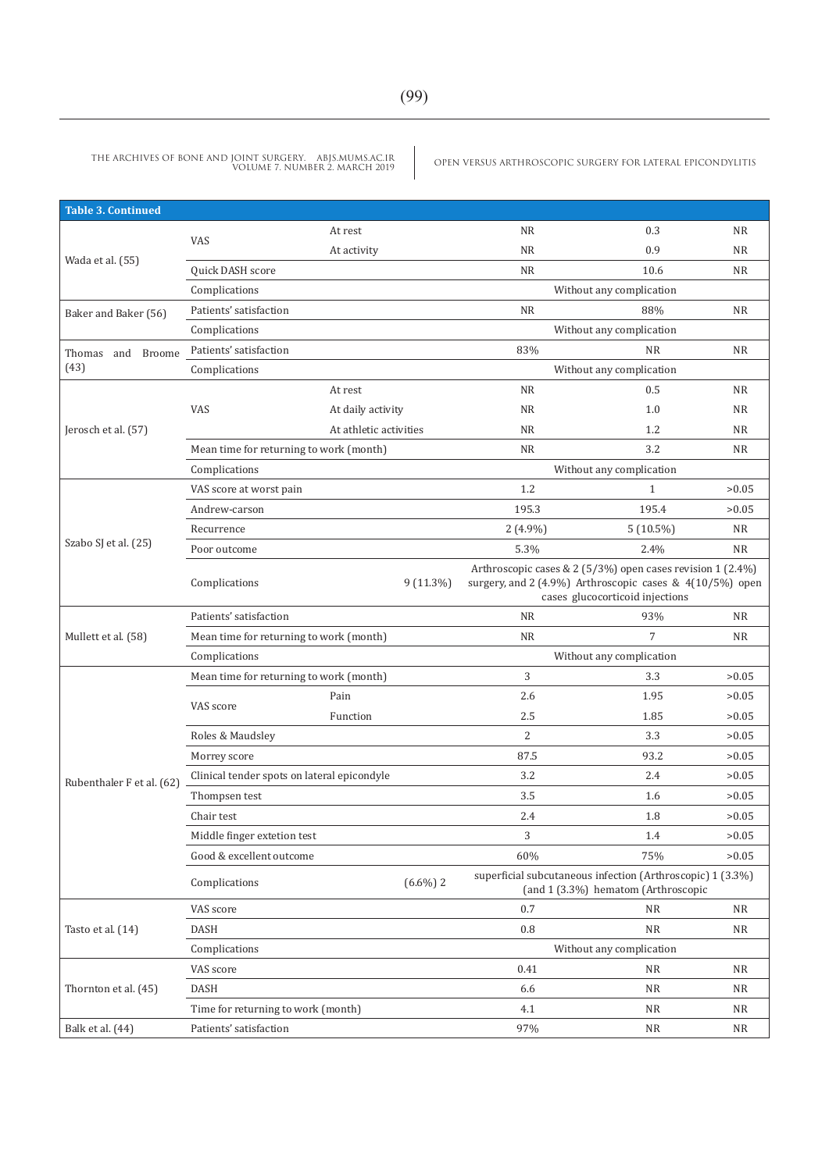| <b>Table 3. Continued</b> |                             |                                                                                                                                                                                                                                                                                                                                                                                                                                                                                                                                                                                                      |                                                                                                                                                                                                                                                                                                                                                                                                                                                                                                                                                                                                                                                                                                                                                                                                                                                                                                                                                                                                                                                     |           |     |           |  |
|---------------------------|-----------------------------|------------------------------------------------------------------------------------------------------------------------------------------------------------------------------------------------------------------------------------------------------------------------------------------------------------------------------------------------------------------------------------------------------------------------------------------------------------------------------------------------------------------------------------------------------------------------------------------------------|-----------------------------------------------------------------------------------------------------------------------------------------------------------------------------------------------------------------------------------------------------------------------------------------------------------------------------------------------------------------------------------------------------------------------------------------------------------------------------------------------------------------------------------------------------------------------------------------------------------------------------------------------------------------------------------------------------------------------------------------------------------------------------------------------------------------------------------------------------------------------------------------------------------------------------------------------------------------------------------------------------------------------------------------------------|-----------|-----|-----------|--|
|                           |                             | At rest                                                                                                                                                                                                                                                                                                                                                                                                                                                                                                                                                                                              |                                                                                                                                                                                                                                                                                                                                                                                                                                                                                                                                                                                                                                                                                                                                                                                                                                                                                                                                                                                                                                                     | <b>NR</b> | 0.3 | <b>NR</b> |  |
|                           | VAS                         | At activity                                                                                                                                                                                                                                                                                                                                                                                                                                                                                                                                                                                          | <b>NR</b><br>0.9<br><b>NR</b><br><b>NR</b><br>10.6<br><b>NR</b><br>Without any complication<br><b>NR</b><br>88%<br><b>NR</b><br>Without any complication<br>83%<br><b>NR</b><br><b>NR</b><br>Without any complication<br><b>NR</b><br>0.5<br><b>NR</b><br>NR<br>1.0<br><b>NR</b><br><b>NR</b><br><b>NR</b><br>1.2<br>3.2<br><b>NR</b><br><b>NR</b><br>Without any complication<br>1.2<br>$\mathbf{1}$<br>195.3<br>195.4<br>$2(4.9\%)$<br><b>NR</b><br>$5(10.5\%)$<br>5.3%<br>2.4%<br><b>NR</b><br>$9(11.3\%)$<br>cases glucocorticoid injections<br><b>NR</b><br>93%<br><b>NR</b><br>$\overline{7}$<br>NR<br>NR<br>Without any complication<br>3<br>3.3<br>2.6<br>1.95<br>2.5<br>1.85<br>$\overline{2}$<br>3.3<br>87.5<br>93.2<br>3.2<br>2.4<br>3.5<br>1.6<br>2.4<br>1.8<br>3<br>1.4<br>60%<br>75%<br>$(6.6\%)$ 2<br>(and 1 (3.3%) hematom (Arthroscopic<br>0.7<br><b>NR</b><br>NR<br>0.8<br><b>NR</b><br>${\rm NR}$<br>Without any complication<br>0.41<br><b>NR</b><br><b>NR</b><br>6.6<br>NR<br>ΝR<br>4.1<br>NR<br>ΝR<br>97%<br>${\rm NR}$<br>ΝR |           |     |           |  |
| Wada et al. (55)          | Quick DASH score            | At rest<br>At daily activity<br>At athletic activities<br>Mean time for returning to work (month)<br>>0.05<br>>0.05<br>Arthroscopic cases & 2 (5/3%) open cases revision 1 (2.4%)<br>surgery, and 2 (4.9%) Arthroscopic cases & 4(10/5%) open<br>Mean time for returning to work (month)<br>Mean time for returning to work (month)<br>>0.05<br>>0.05<br>Pain<br>>0.05<br>Function<br>>0.05<br>>0.05<br>Clinical tender spots on lateral epicondyle<br>>0.05<br>>0.05<br>>0.05<br>>0.05<br>>0.05<br>superficial subcutaneous infection (Arthroscopic) 1 (3.3%)<br>Time for returning to work (month) |                                                                                                                                                                                                                                                                                                                                                                                                                                                                                                                                                                                                                                                                                                                                                                                                                                                                                                                                                                                                                                                     |           |     |           |  |
|                           | Complications               |                                                                                                                                                                                                                                                                                                                                                                                                                                                                                                                                                                                                      |                                                                                                                                                                                                                                                                                                                                                                                                                                                                                                                                                                                                                                                                                                                                                                                                                                                                                                                                                                                                                                                     |           |     |           |  |
| Baker and Baker (56)      | Patients' satisfaction      |                                                                                                                                                                                                                                                                                                                                                                                                                                                                                                                                                                                                      |                                                                                                                                                                                                                                                                                                                                                                                                                                                                                                                                                                                                                                                                                                                                                                                                                                                                                                                                                                                                                                                     |           |     |           |  |
|                           | Complications               |                                                                                                                                                                                                                                                                                                                                                                                                                                                                                                                                                                                                      |                                                                                                                                                                                                                                                                                                                                                                                                                                                                                                                                                                                                                                                                                                                                                                                                                                                                                                                                                                                                                                                     |           |     |           |  |
| and Broome<br>Thomas      | Patients' satisfaction      |                                                                                                                                                                                                                                                                                                                                                                                                                                                                                                                                                                                                      |                                                                                                                                                                                                                                                                                                                                                                                                                                                                                                                                                                                                                                                                                                                                                                                                                                                                                                                                                                                                                                                     |           |     |           |  |
| (43)                      | Complications               |                                                                                                                                                                                                                                                                                                                                                                                                                                                                                                                                                                                                      |                                                                                                                                                                                                                                                                                                                                                                                                                                                                                                                                                                                                                                                                                                                                                                                                                                                                                                                                                                                                                                                     |           |     |           |  |
|                           |                             |                                                                                                                                                                                                                                                                                                                                                                                                                                                                                                                                                                                                      |                                                                                                                                                                                                                                                                                                                                                                                                                                                                                                                                                                                                                                                                                                                                                                                                                                                                                                                                                                                                                                                     |           |     |           |  |
|                           | VAS                         |                                                                                                                                                                                                                                                                                                                                                                                                                                                                                                                                                                                                      |                                                                                                                                                                                                                                                                                                                                                                                                                                                                                                                                                                                                                                                                                                                                                                                                                                                                                                                                                                                                                                                     |           |     |           |  |
| Jerosch et al. (57)       |                             |                                                                                                                                                                                                                                                                                                                                                                                                                                                                                                                                                                                                      |                                                                                                                                                                                                                                                                                                                                                                                                                                                                                                                                                                                                                                                                                                                                                                                                                                                                                                                                                                                                                                                     |           |     |           |  |
|                           |                             |                                                                                                                                                                                                                                                                                                                                                                                                                                                                                                                                                                                                      |                                                                                                                                                                                                                                                                                                                                                                                                                                                                                                                                                                                                                                                                                                                                                                                                                                                                                                                                                                                                                                                     |           |     |           |  |
|                           | Complications               |                                                                                                                                                                                                                                                                                                                                                                                                                                                                                                                                                                                                      |                                                                                                                                                                                                                                                                                                                                                                                                                                                                                                                                                                                                                                                                                                                                                                                                                                                                                                                                                                                                                                                     |           |     |           |  |
|                           | VAS score at worst pain     |                                                                                                                                                                                                                                                                                                                                                                                                                                                                                                                                                                                                      |                                                                                                                                                                                                                                                                                                                                                                                                                                                                                                                                                                                                                                                                                                                                                                                                                                                                                                                                                                                                                                                     |           |     |           |  |
| Szabo SJ et al. (25)      | Andrew-carson               |                                                                                                                                                                                                                                                                                                                                                                                                                                                                                                                                                                                                      |                                                                                                                                                                                                                                                                                                                                                                                                                                                                                                                                                                                                                                                                                                                                                                                                                                                                                                                                                                                                                                                     |           |     |           |  |
|                           | Recurrence                  |                                                                                                                                                                                                                                                                                                                                                                                                                                                                                                                                                                                                      |                                                                                                                                                                                                                                                                                                                                                                                                                                                                                                                                                                                                                                                                                                                                                                                                                                                                                                                                                                                                                                                     |           |     |           |  |
|                           | Poor outcome                |                                                                                                                                                                                                                                                                                                                                                                                                                                                                                                                                                                                                      |                                                                                                                                                                                                                                                                                                                                                                                                                                                                                                                                                                                                                                                                                                                                                                                                                                                                                                                                                                                                                                                     |           |     |           |  |
|                           | Complications               |                                                                                                                                                                                                                                                                                                                                                                                                                                                                                                                                                                                                      |                                                                                                                                                                                                                                                                                                                                                                                                                                                                                                                                                                                                                                                                                                                                                                                                                                                                                                                                                                                                                                                     |           |     |           |  |
|                           | Patients' satisfaction      |                                                                                                                                                                                                                                                                                                                                                                                                                                                                                                                                                                                                      |                                                                                                                                                                                                                                                                                                                                                                                                                                                                                                                                                                                                                                                                                                                                                                                                                                                                                                                                                                                                                                                     |           |     |           |  |
| Mullett et al. (58)       |                             |                                                                                                                                                                                                                                                                                                                                                                                                                                                                                                                                                                                                      |                                                                                                                                                                                                                                                                                                                                                                                                                                                                                                                                                                                                                                                                                                                                                                                                                                                                                                                                                                                                                                                     |           |     |           |  |
|                           | Complications               |                                                                                                                                                                                                                                                                                                                                                                                                                                                                                                                                                                                                      |                                                                                                                                                                                                                                                                                                                                                                                                                                                                                                                                                                                                                                                                                                                                                                                                                                                                                                                                                                                                                                                     |           |     |           |  |
|                           |                             |                                                                                                                                                                                                                                                                                                                                                                                                                                                                                                                                                                                                      |                                                                                                                                                                                                                                                                                                                                                                                                                                                                                                                                                                                                                                                                                                                                                                                                                                                                                                                                                                                                                                                     |           |     |           |  |
|                           | VAS score                   |                                                                                                                                                                                                                                                                                                                                                                                                                                                                                                                                                                                                      |                                                                                                                                                                                                                                                                                                                                                                                                                                                                                                                                                                                                                                                                                                                                                                                                                                                                                                                                                                                                                                                     |           |     |           |  |
|                           |                             |                                                                                                                                                                                                                                                                                                                                                                                                                                                                                                                                                                                                      |                                                                                                                                                                                                                                                                                                                                                                                                                                                                                                                                                                                                                                                                                                                                                                                                                                                                                                                                                                                                                                                     |           |     |           |  |
|                           | Roles & Maudsley            |                                                                                                                                                                                                                                                                                                                                                                                                                                                                                                                                                                                                      |                                                                                                                                                                                                                                                                                                                                                                                                                                                                                                                                                                                                                                                                                                                                                                                                                                                                                                                                                                                                                                                     |           |     |           |  |
|                           | Morrey score                |                                                                                                                                                                                                                                                                                                                                                                                                                                                                                                                                                                                                      |                                                                                                                                                                                                                                                                                                                                                                                                                                                                                                                                                                                                                                                                                                                                                                                                                                                                                                                                                                                                                                                     |           |     |           |  |
| Rubenthaler F et al. (62) |                             |                                                                                                                                                                                                                                                                                                                                                                                                                                                                                                                                                                                                      |                                                                                                                                                                                                                                                                                                                                                                                                                                                                                                                                                                                                                                                                                                                                                                                                                                                                                                                                                                                                                                                     |           |     |           |  |
|                           | Thompsen test               |                                                                                                                                                                                                                                                                                                                                                                                                                                                                                                                                                                                                      |                                                                                                                                                                                                                                                                                                                                                                                                                                                                                                                                                                                                                                                                                                                                                                                                                                                                                                                                                                                                                                                     |           |     |           |  |
|                           | Chair test                  |                                                                                                                                                                                                                                                                                                                                                                                                                                                                                                                                                                                                      |                                                                                                                                                                                                                                                                                                                                                                                                                                                                                                                                                                                                                                                                                                                                                                                                                                                                                                                                                                                                                                                     |           |     |           |  |
|                           | Middle finger extetion test |                                                                                                                                                                                                                                                                                                                                                                                                                                                                                                                                                                                                      |                                                                                                                                                                                                                                                                                                                                                                                                                                                                                                                                                                                                                                                                                                                                                                                                                                                                                                                                                                                                                                                     |           |     |           |  |
|                           | Good & excellent outcome    |                                                                                                                                                                                                                                                                                                                                                                                                                                                                                                                                                                                                      |                                                                                                                                                                                                                                                                                                                                                                                                                                                                                                                                                                                                                                                                                                                                                                                                                                                                                                                                                                                                                                                     |           |     |           |  |
|                           | Complications               |                                                                                                                                                                                                                                                                                                                                                                                                                                                                                                                                                                                                      |                                                                                                                                                                                                                                                                                                                                                                                                                                                                                                                                                                                                                                                                                                                                                                                                                                                                                                                                                                                                                                                     |           |     |           |  |
|                           | VAS score                   |                                                                                                                                                                                                                                                                                                                                                                                                                                                                                                                                                                                                      |                                                                                                                                                                                                                                                                                                                                                                                                                                                                                                                                                                                                                                                                                                                                                                                                                                                                                                                                                                                                                                                     |           |     |           |  |
| Tasto et al. (14)         | <b>DASH</b>                 |                                                                                                                                                                                                                                                                                                                                                                                                                                                                                                                                                                                                      |                                                                                                                                                                                                                                                                                                                                                                                                                                                                                                                                                                                                                                                                                                                                                                                                                                                                                                                                                                                                                                                     |           |     |           |  |
|                           | Complications               |                                                                                                                                                                                                                                                                                                                                                                                                                                                                                                                                                                                                      |                                                                                                                                                                                                                                                                                                                                                                                                                                                                                                                                                                                                                                                                                                                                                                                                                                                                                                                                                                                                                                                     |           |     |           |  |
|                           | VAS score                   |                                                                                                                                                                                                                                                                                                                                                                                                                                                                                                                                                                                                      |                                                                                                                                                                                                                                                                                                                                                                                                                                                                                                                                                                                                                                                                                                                                                                                                                                                                                                                                                                                                                                                     |           |     |           |  |
| Thornton et al. (45)      | DASH                        |                                                                                                                                                                                                                                                                                                                                                                                                                                                                                                                                                                                                      |                                                                                                                                                                                                                                                                                                                                                                                                                                                                                                                                                                                                                                                                                                                                                                                                                                                                                                                                                                                                                                                     |           |     |           |  |
|                           |                             |                                                                                                                                                                                                                                                                                                                                                                                                                                                                                                                                                                                                      |                                                                                                                                                                                                                                                                                                                                                                                                                                                                                                                                                                                                                                                                                                                                                                                                                                                                                                                                                                                                                                                     |           |     |           |  |
| Balk et al. (44)          | Patients' satisfaction      |                                                                                                                                                                                                                                                                                                                                                                                                                                                                                                                                                                                                      |                                                                                                                                                                                                                                                                                                                                                                                                                                                                                                                                                                                                                                                                                                                                                                                                                                                                                                                                                                                                                                                     |           |     |           |  |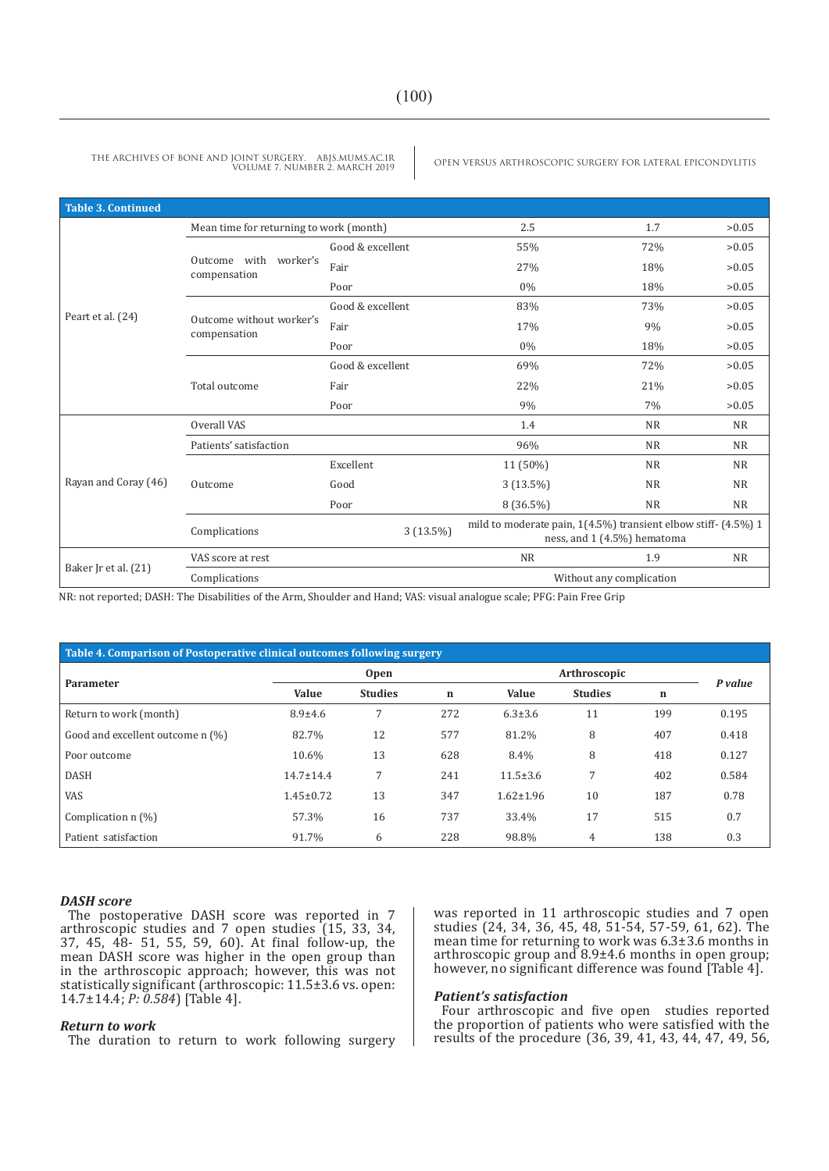| <b>Table 3. Continued</b> |                                          |                  |                                                                                                                            |                                                                                                                                                                                                                              |       |
|---------------------------|------------------------------------------|------------------|----------------------------------------------------------------------------------------------------------------------------|------------------------------------------------------------------------------------------------------------------------------------------------------------------------------------------------------------------------------|-------|
|                           | Mean time for returning to work (month)  |                  | 2.5                                                                                                                        | 1.7                                                                                                                                                                                                                          | >0.05 |
|                           |                                          | Good & excellent | 55%                                                                                                                        | 72%                                                                                                                                                                                                                          | >0.05 |
|                           | Outcome with<br>worker's<br>compensation | Fair             | 27%                                                                                                                        | 18%                                                                                                                                                                                                                          | >0.05 |
|                           |                                          | Poor             | $0\%$                                                                                                                      | 18%                                                                                                                                                                                                                          | >0.05 |
|                           |                                          | Good & excellent | 83%                                                                                                                        | >0.05<br>73%<br>>0.05<br>9%<br>>0.05<br>18%<br>>0.05<br>72%<br>21%<br>>0.05<br>>0.05<br>7%<br><b>NR</b><br><b>NR</b><br><b>NR</b><br><b>NR</b><br><b>NR</b><br><b>NR</b><br><b>NR</b><br><b>NR</b><br><b>NR</b><br><b>NR</b> |       |
| Peart et al. (24)         | Outcome without worker's<br>compensation | Fair             | 17%<br>$0\%$<br>69%<br>22%<br>9%<br>1.4                                                                                    |                                                                                                                                                                                                                              |       |
| Poor<br>Good & excellent  |                                          |                  |                                                                                                                            |                                                                                                                                                                                                                              |       |
|                           |                                          |                  |                                                                                                                            |                                                                                                                                                                                                                              |       |
|                           | Total outcome                            | Fair             |                                                                                                                            |                                                                                                                                                                                                                              |       |
|                           |                                          | Poor             |                                                                                                                            |                                                                                                                                                                                                                              |       |
|                           | Overall VAS                              |                  | 96%<br>11 (50%)<br>$3(13.5\%)$<br>8 (36.5%)<br>ness, and 1 (4.5%) hematoma<br><b>NR</b><br>1.9<br>Without any complication |                                                                                                                                                                                                                              |       |
|                           | Patients' satisfaction                   |                  |                                                                                                                            | mild to moderate pain, $1(4.5\%)$ transient elbow stiff- $(4.5\%)$ 1<br><b>NR</b>                                                                                                                                            |       |
|                           |                                          | Excellent        |                                                                                                                            |                                                                                                                                                                                                                              |       |
| Rayan and Coray (46)      | Outcome                                  | Good             |                                                                                                                            |                                                                                                                                                                                                                              |       |
|                           |                                          | Poor             |                                                                                                                            |                                                                                                                                                                                                                              |       |
|                           | Complications                            | $3(13.5\%)$      |                                                                                                                            |                                                                                                                                                                                                                              |       |
|                           | VAS score at rest                        |                  |                                                                                                                            |                                                                                                                                                                                                                              |       |
| Baker Jr et al. (21)      | Complications                            |                  |                                                                                                                            |                                                                                                                                                                                                                              |       |

NR: not reported; DASH: The Disabilities of the Arm, Shoulder and Hand; VAS: visual analogue scale; PFG: Pain Free Grip

| Table 4. Comparison of Postoperative clinical outcomes following surgery |                 |                |             |                 |                |             |       |  |  |
|--------------------------------------------------------------------------|-----------------|----------------|-------------|-----------------|----------------|-------------|-------|--|--|
|                                                                          |                 | <b>Open</b>    |             | Arthroscopic    | P value        |             |       |  |  |
| Parameter                                                                | <b>Value</b>    | <b>Studies</b> | $\mathbf n$ | <b>Value</b>    | <b>Studies</b> | $\mathbf n$ |       |  |  |
| Return to work (month)                                                   | $8.9 + 4.6$     | 7              | 272         | $6.3 \pm 3.6$   | 11             | 199         | 0.195 |  |  |
| Good and excellent outcome n (%)                                         | 82.7%           | 12             | 577         | 81.2%           | 8              | 407         | 0.418 |  |  |
| Poor outcome                                                             | 10.6%           | 13             | 628         | 8.4%            | 8              | 418         | 0.127 |  |  |
| <b>DASH</b>                                                              | $14.7 \pm 14.4$ | 7              | 241         | $11.5 \pm 3.6$  | 7              | 402         | 0.584 |  |  |
| <b>VAS</b>                                                               | $1.45 \pm 0.72$ | 13             | 347         | $1.62 \pm 1.96$ | 10             | 187         | 0.78  |  |  |
| Complication $n$ $\left(\frac{9}{0}\right)$                              | 57.3%           | 16             | 737         | 33.4%           | 17             | 515         | 0.7   |  |  |
| Patient satisfaction                                                     | 91.7%           | 6              | 228         | 98.8%           | 4              | 138         | 0.3   |  |  |

#### *DASH score*

The postoperative DASH score was reported in 7 arthroscopic studies and 7 open studies (15, 33, 34, 37, 45, 48- 51, 55, 59, 60). At final follow-up, the mean DASH score was higher in the open group than in the arthroscopic approach; however, this was not statistically significant (arthroscopic: 11.5±3.6 vs. open: 14.7±14.4; *P: 0.584*) [Table 4].

#### *Return to work*

The duration to return to work following surgery

was reported in 11 arthroscopic studies and 7 open studies (24, 34, 36, 45, 48, 51-54, 57-59, 61, 62). The mean time for returning to work was 6.3±3.6 months in arthroscopic group and 8.9±4.6 months in open group; however, no significant difference was found [Table 4].

#### *Patient's satisfaction*

Four arthroscopic and five open studies reported the proportion of patients who were satisfied with the results of the procedure (36, 39, 41, 43, 44, 47, 49, 56,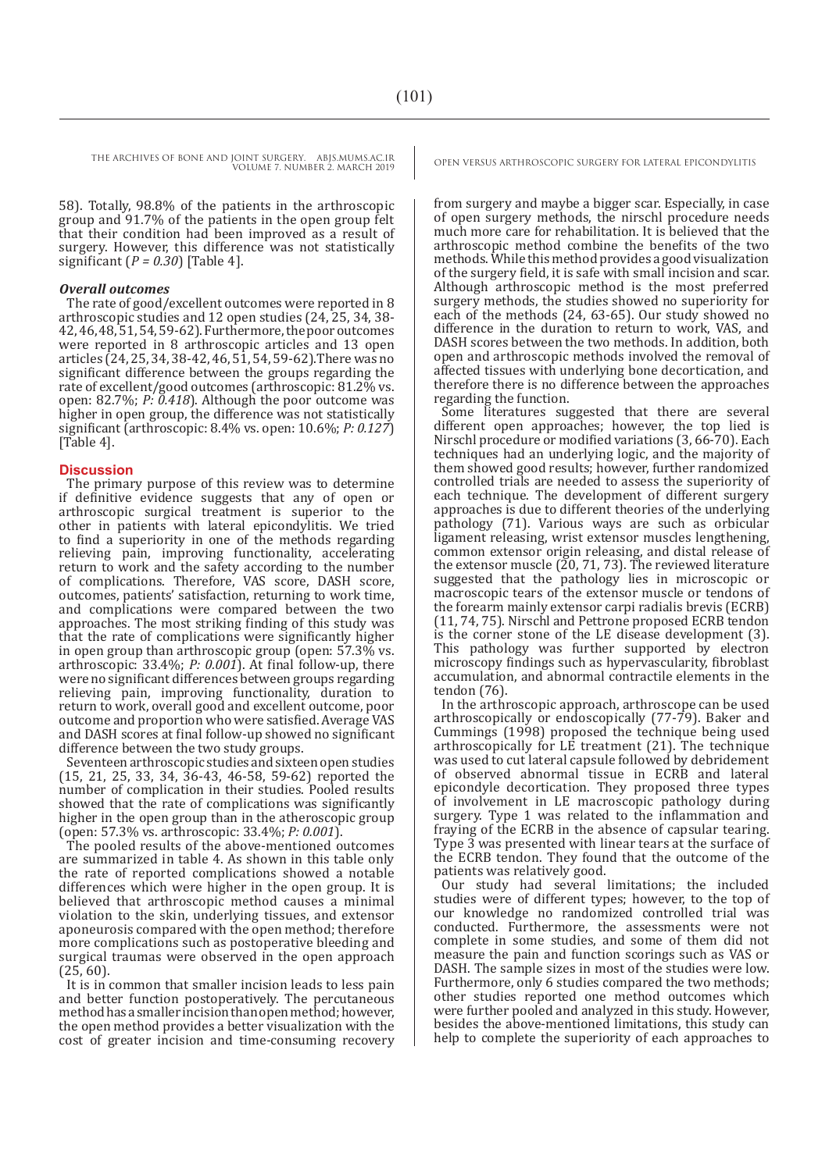58). Totally, 98.8% of the patients in the arthroscopic group and 91.7% of the patients in the open group felt that their condition had been improved as a result of surgery. However, this difference was not statistically significant (*P = 0.30*) [Table 4].

#### *Overall outcomes*

The rate of good/excellent outcomes were reported in 8 arthroscopic studies and 12 open studies (24, 25, 34, 38- 42, 46, 48, 51, 54, 59-62). Furthermore, the poor outcomes were reported in 8 arthroscopic articles and 13 open articles (24, 25, 34, 38-42, 46, 51, 54, 59-62).There was no significant difference between the groups regarding the rate of excellent/good outcomes (arthroscopic: 81.2% vs. open: 82.7%; *P: 0.418*). Although the poor outcome was higher in open group, the difference was not statistically significant (arthroscopic: 8.4% vs. open: 10.6%; *P: 0.127*) [Table 4].

#### **Discussion**

The primary purpose of this review was to determine if definitive evidence suggests that any of open or arthroscopic surgical treatment is superior to the other in patients with lateral epicondylitis. We tried to find a superiority in one of the methods regarding relieving pain, improving functionality, accelerating return to work and the safety according to the number of complications. Therefore, VAS score, DASH score, outcomes, patients' satisfaction, returning to work time, and complications were compared between the two approaches. The most striking finding of this study was that the rate of complications were significantly higher in open group than arthroscopic group (open: 57.3% vs. arthroscopic: 33.4%; *P: 0.001*). At final follow-up, there were no significant differences between groups regarding relieving pain, improving functionality, duration to return to work, overall good and excellent outcome, poor outcome and proportion who were satisfied. Average VAS and DASH scores at final follow-up showed no significant difference between the two study groups.

Seventeen arthroscopic studies and sixteen open studies (15, 21, 25, 33, 34, 36-43, 46-58, 59-62) reported the number of complication in their studies. Pooled results showed that the rate of complications was significantly higher in the open group than in the atheroscopic group (open: 57.3% vs. arthroscopic: 33.4%; *P: 0.001*).

The pooled results of the above-mentioned outcomes are summarized in table 4. As shown in this table only the rate of reported complications showed a notable differences which were higher in the open group. It is believed that arthroscopic method causes a minimal violation to the skin, underlying tissues, and extensor aponeurosis compared with the open method; therefore more complications such as postoperative bleeding and surgical traumas were observed in the open approach (25, 60).

It is in common that smaller incision leads to less pain and better function postoperatively. The percutaneous method has a smaller incision than open method; however, the open method provides a better visualization with the cost of greater incision and time-consuming recovery

from surgery and maybe a bigger scar. Especially, in case of open surgery methods, the nirschl procedure needs much more care for rehabilitation. It is believed that the arthroscopic method combine the benefits of the two methods. While this method provides a good visualization of the surgery field, it is safe with small incision and scar. Although arthroscopic method is the most preferred surgery methods, the studies showed no superiority for each of the methods (24, 63-65). Our study showed no difference in the duration to return to work, VAS, and DASH scores between the two methods. In addition, both open and arthroscopic methods involved the removal of affected tissues with underlying bone decortication, and therefore there is no difference between the approaches regarding the function.

Some literatures suggested that there are several different open approaches; however, the top lied is Nirschl procedure or modified variations (3, 66-70). Each techniques had an underlying logic, and the majority of them showed good results; however, further randomized controlled trials are needed to assess the superiority of each technique. The development of different surgery approaches is due to different theories of the underlying pathology (71). Various ways are such as orbicular ligament releasing, wrist extensor muscles lengthening, common extensor origin releasing, and distal release of the extensor muscle (20, 71, 73). The reviewed literature suggested that the pathology lies in microscopic or macroscopic tears of the extensor muscle or tendons of the forearm mainly extensor carpi radialis brevis (ECRB) (11, 74, 75). Nirschl and Pettrone proposed ECRB tendon is the corner stone of the LE disease development (3). This pathology was further supported by electron microscopy findings such as hypervascularity, fibroblast accumulation, and abnormal contractile elements in the tendon (76).

In the arthroscopic approach, arthroscope can be used arthroscopically or endoscopically  $(77-79)$ . Baker and Cummings (1998) proposed the technique being used arthroscopically for LE treatment (21). The technique was used to cut lateral capsule followed by debridement of observed abnormal tissue in ECRB and lateral epicondyle decortication. They proposed three types of involvement in LE macroscopic pathology during surgery. Type 1 was related to the inflammation and fraying of the ECRB in the absence of capsular tearing. Type 3 was presented with linear tears at the surface of the ECRB tendon. They found that the outcome of the patients was relatively good.

Our study had several limitations; the included studies were of different types; however, to the top of our knowledge no randomized controlled trial was conducted. Furthermore, the assessments were not complete in some studies, and some of them did not measure the pain and function scorings such as VAS or DASH. The sample sizes in most of the studies were low. Furthermore, only 6 studies compared the two methods; other studies reported one method outcomes which were further pooled and analyzed in this study. However, besides the above-mentioned limitations, this study can help to complete the superiority of each approaches to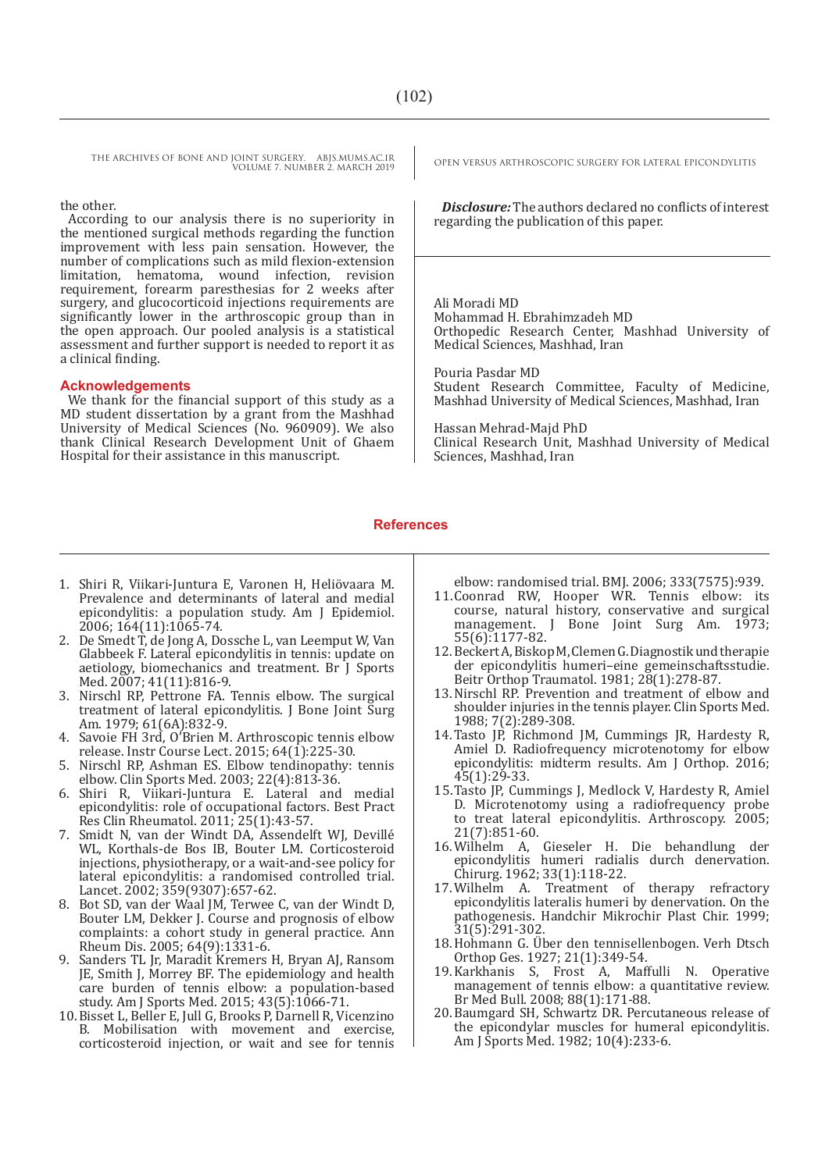the other.

According to our analysis there is no superiority in the mentioned surgical methods regarding the function improvement with less pain sensation. However, the number of complications such as mild flexion-extension limitation, hematoma, wound infection, revision requirement, forearm paresthesias for 2 weeks after surgery, and glucocorticoid injections requirements are significantly lower in the arthroscopic group than in the open approach. Our pooled analysis is a statistical assessment and further support is needed to report it as a clinical finding.

#### **Acknowledgements**

We thank for the financial support of this study as a MD student dissertation by a grant from the Mashhad University of Medical Sciences (No. 960909). We also thank Clinical Research Development Unit of Ghaem Hospital for their assistance in this manuscript.

*Disclosure:* The authors declared no conflicts of interest regarding the publication of this paper.

Ali Moradi MD Mohammad H. Ebrahimzadeh MD Orthopedic Research Center, Mashhad University of Medical Sciences, Mashhad, Iran

Pouria Pasdar MD Student Research Committee, Faculty of Medicine, Mashhad University of Medical Sciences, Mashhad, Iran

Hassan Mehrad-Majd PhD Clinical Research Unit, Mashhad University of Medical Sciences, Mashhad, Iran

#### **References**

- 1. Shiri R, Viikari-Juntura E, Varonen H, Heliövaara M. Prevalence and determinants of lateral and medial epicondylitis: a population study. Am J Epidemiol. 2006; 164(11):1065-74.
- 2. De Smedt T, de Jong A, Dossche L, van Leemput W, Van Glabbeek F. Lateral epicondylitis in tennis: update on aetiology, biomechanics and treatment. Br J Sports Med. 2007; 41(11):816-9.
- 3. Nirschl RP, Pettrone FA. Tennis elbow. The surgical treatment of lateral epicondylitis. J Bone Joint Surg Am. 1979; 61(6A):832-9.
- 4. Savoie FH 3rd, O'Brien M. Arthroscopic tennis elbow release. Instr Course Lect. 2015;  $64(\overline{1})$ :225-30.
- 5. Nirschl RP, Ashman ES. Elbow tendinopathy: tennis elbow. Clin Sports Med. 2003; 22(4):813-36.
- 6. Shiri R, Viikari-Juntura E. Lateral and medial epicondylitis: role of occupational factors. Best Pract Res Clin Rheumatol. 2011; 25(1):43-57.
- 7. Smidt N, van der Windt DA, Assendelft WJ, Devillé WL, Korthals-de Bos IB, Bouter LM. Corticosteroid injections, physiotherapy, or a wait-and-see policy for lateral epicondylitis: a randomised controlled trial. Lancet. 2002; 359(9307):657-62.
- 8. Bot SD, van der Waal JM, Terwee C, van der Windt D, Bouter LM, Dekker J. Course and prognosis of elbow complaints: a cohort study in general practice. Ann Rheum Dis. 2005; 64(9):1331-6.
- 9. Sanders TL Jr, Maradit Kremers H, Bryan AJ, Ransom JE, Smith J, Morrey BF. The epidemiology and health care burden of tennis elbow: a population-based study. Am J Sports Med. 2015; 43(5):1066-71.
- 10.Bisset L, Beller E, Jull G, Brooks P, Darnell R, Vicenzino B. Mobilisation with movement and exercise, corticosteroid injection, or wait and see for tennis

elbow: randomised trial. BMJ. 2006; 333(7575):939.

- 11.Coonrad RW, Hooper WR. Tennis elbow: its course, natural history, conservative and surgical management. J Bone Joint Surg Am. 1973; 55(6):1177-82.
- 12.Beckert A, Biskop M, Clemen G. Diagnostik und therapie der epicondylitis humeri–eine gemeinschaftsstudie. Beitr Orthop Traumatol. 1981; 28(1):278-87.
- 13.Nirschl RP. Prevention and treatment of elbow and shoulder injuries in the tennis player. Clin Sports Med. 1988; 7(2):289-308.
- 14.Tasto JP, Richmond JM, Cummings JR, Hardesty R, Amiel D. Radiofrequency microtenotomy for elbow epicondylitis: midterm results. Am J Orthop. 2016; 45(1):29-33.
- 15.Tasto JP, Cummings J, Medlock V, Hardesty R, Amiel D. Microtenotomy using a radiofrequency probe to treat lateral epicondylitis. Arthroscopy. 2005; 21(7):851-60.<br>16. Wilhelm A.
- Gieseler H. Die behandlung der epicondylitis humeri radialis durch denervation. Chirurg. 1962; 33(1):118-22.
- 17.Wilhelm A. Treatment of therapy refractory epicondylitis lateralis humeri by denervation. On the pathogenesis. Handchir Mikrochir Plast Chir. 1999; 31(5):291-302.
- 18.Hohmann G. Über den tennisellenbogen. Verh Dtsch Orthop Ges. 1927; 21(1):349-54.
- 19.Karkhanis S, Frost A, Maffulli N. Operative management of tennis elbow: a quantitative review. Br Med Bull. 2008; 88(1):171-88.
- 20.Baumgard SH, Schwartz DR. Percutaneous release of the epicondylar muscles for humeral epicondylitis. Am J Sports Med. 1982; 10(4):233-6.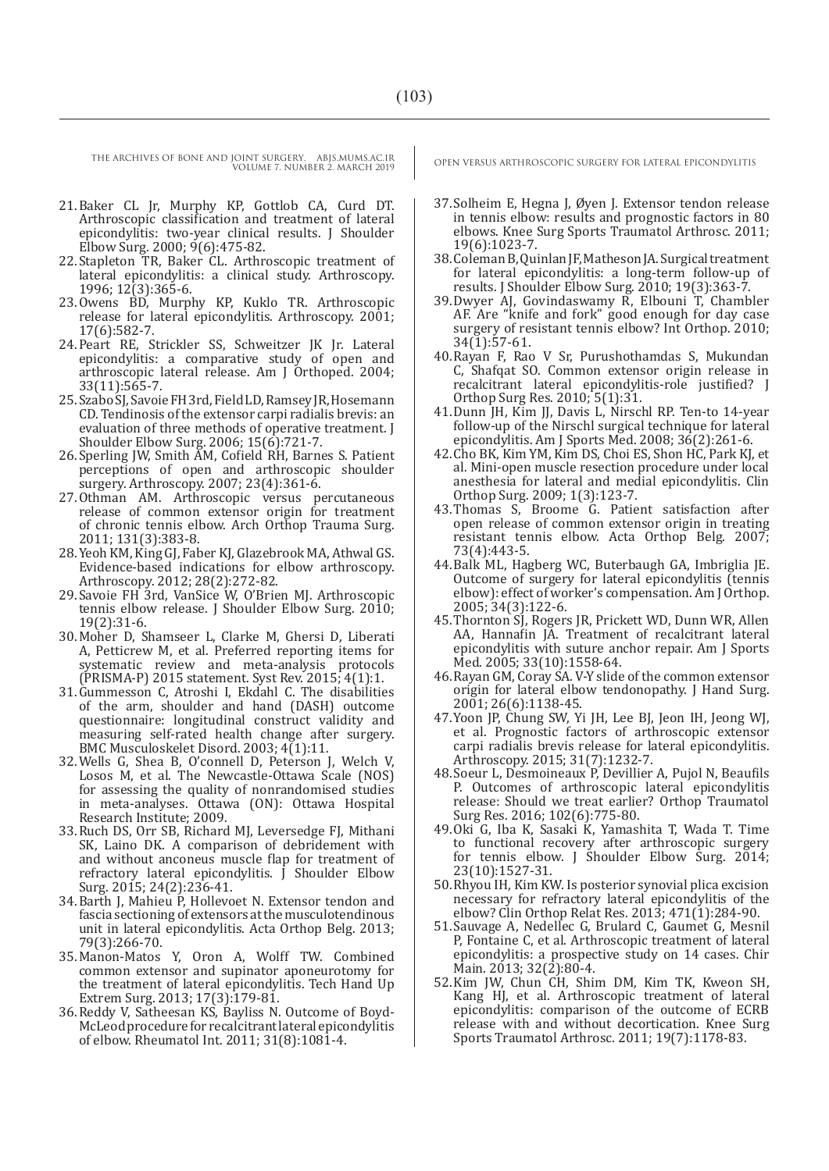- 21.Baker CL Jr, Murphy KP, Gottlob CA, Curd DT. Arthroscopic classification and treatment of lateral epicondylitis: two-year clinical results. J Shoulder Elbow Surg. 2000; 9(6):475-82.
- 22.Stapleton TR, Baker CL. Arthroscopic treatment of lateral epicondylitis: a clinical study. Arthroscopy. 1996; 12(3):365-6.
- 23.Owens BD, Murphy KP, Kuklo TR. Arthroscopic release for lateral epicondylitis. Arthroscopy. 2001; 17(6):582-7.
- 24.Peart RE, Strickler SS, Schweitzer JK Jr. Lateral epicondylitis: a comparative study of open and arthroscopic lateral release. Am J Orthoped. 2004; 33(11):565-7.
- 25.Szabo SJ, Savoie FH 3rd, Field LD, Ramsey JR, Hosemann CD. Tendinosis of the extensor carpi radialis brevis: an evaluation of three methods of operative treatment. J Shoulder Elbow Surg. 2006; 15(6):721-7.
- 26.Sperling JW, Smith AM, Cofield RH, Barnes S. Patient perceptions of open and arthroscopic shoulder surgery. Arthroscopy. 2007; 23(4):361-6.
- 27.Othman AM. Arthroscopic versus percutaneous release of common extensor origin for treatment of chronic tennis elbow. Arch Orthop Trauma Surg. 2011; 131(3):383-8.
- 28.Yeoh KM, King GJ, Faber KJ, Glazebrook MA, Athwal GS. Evidence-based indications for elbow arthroscopy. Arthroscopy. 2012; 28(2):272-82.
- 29.Savoie FH 3rd, VanSice W, O'Brien MJ. Arthroscopic tennis elbow release. J Shoulder Elbow Surg. 2010; 19(2):31-6.
- 30.Moher D, Shamseer L, Clarke M, Ghersi D, Liberati A, Petticrew M, et al. Preferred reporting items for systematic review and meta-analysis protocols (PRISMA-P) 2015 statement. Syst Rev. 2015; 4(1):1.
- 31.Gummesson C, Atroshi I, Ekdahl C. The disabilities of the arm, shoulder and hand (DASH) outcome questionnaire: longitudinal construct validity and measuring self-rated health change after surgery. BMC Musculoskelet Disord. 2003; 4(1):11.
- 32.Wells G, Shea B, O'connell D, Peterson J, Welch V, Losos M, et al. The Newcastle-Ottawa Scale (NOS) for assessing the quality of nonrandomised studies in meta-analyses. Ottawa (ON): Ottawa Hospital Research Institute; 2009.
- 33.Ruch DS, Orr SB, Richard MJ, Leversedge FJ, Mithani SK, Laino DK. A comparison of debridement with and without anconeus muscle flap for treatment of refractory lateral epicondylitis.  $\int$  Shoulder Elbow Surg. 2015; 24(2):236-41.
- 34.Barth J, Mahieu P, Hollevoet N. Extensor tendon and fascia sectioning of extensors at the musculotendinous unit in lateral epicondylitis. Acta Orthop Belg. 2013; 79(3):266-70.
- 35.Manon-Matos Y, Oron A, Wolff TW. Combined common extensor and supinator aponeurotomy for the treatment of lateral epicondylitis. Tech Hand Up Extrem Surg. 2013; 17(3):179-81.
- 36.Reddy V, Satheesan KS, Bayliss N. Outcome of Boyd-McLeod procedure for recalcitrant lateral epicondylitis of elbow. Rheumatol Int. 2011; 31(8):1081-4.

- 37.Solheim E, Hegna J, Øyen J. Extensor tendon release in tennis elbow: results and prognostic factors in 80 elbows. Knee Surg Sports Traumatol Arthrosc. 2011; 19(6):1023-7.
- 38.Coleman B, Quinlan JF, Matheson JA. Surgical treatment for lateral epicondylitis: a long-term follow-up of results. J Shoulder Elbow Surg. 2010; 19(3):363-7.
- 39.Dwyer AJ, Govindaswamy R, Elbouni T, Chambler AF. Are "knife and fork" good enough for day case surgery of resistant tennis elbow? Int Orthop. 2010;  $34(1):57-61.$
- 40.Rayan F, Rao V Sr, Purushothamdas S, Mukundan C, Shafqat SO. Common extensor origin release in recalcitrant lateral epicondylitis-role justified? J Orthop Surg Res. 2010; 5(1):31.
- 41.Dunn JH, Kim JJ, Davis L, Nirschl RP. Ten-to 14-year follow-up of the Nirschl surgical technique for lateral epicondylitis. Am J Sports Med. 2008; 36(2):261-6.
- 42.Cho BK, Kim YM, Kim DS, Choi ES, Shon HC, Park KJ, et al. Mini-open muscle resection procedure under local anesthesia for lateral and medial epicondylitis. Clin Orthop Surg. 2009; 1(3):123-7.
- 43.Thomas S, Broome G. Patient satisfaction after open release of common extensor origin in treating resistant tennis elbow. Acta Orthop Belg. 2007; 73(4):443-5.
- 44.Balk ML, Hagberg WC, Buterbaugh GA, Imbriglia JE. Outcome of surgery for lateral epicondylitis (tennis elbow): effect of worker's compensation. Am J Orthop. 2005; 34(3):122-6.
- 45.Thornton SJ, Rogers JR, Prickett WD, Dunn WR, Allen AA, Hannafin JA. Treatment of recalcitrant lateral epicondylitis with suture anchor repair. Am J Sports Med. 2005; 33(10):1558-64.
- 46.Rayan GM, Coray SA. V-Y slide of the common extensor origin for lateral elbow tendonopathy. J Hand Surg. 2001; 26(6):1138-45.
- 47.Yoon JP, Chung SW, Yi JH, Lee BJ, Jeon IH, Jeong WJ, et al. Prognostic factors of arthroscopic extensor carpi radialis brevis release for lateral epicondylitis. Arthroscopy. 2015; 31(7):1232-7.
- 48.Soeur L, Desmoineaux P, Devillier A, Pujol N, Beaufils P. Outcomes of arthroscopic lateral epicondylitis release: Should we treat earlier? Orthop Traumatol Surg Res. 2016; 102(6):775-80.
- 49.Oki G, Iba K, Sasaki K, Yamashita T, Wada T. Time to functional recovery after arthroscopic surgery for tennis elbow. J Shoulder Elbow Surg. 2014; 23(10):1527-31.
- 50.Rhyou IH, Kim KW. Is posterior synovial plica excision necessary for refractory lateral epicondylitis of the elbow? Clin Orthop Relat Res. 2013; 471(1):284-90.
- 51.Sauvage A, Nedellec G, Brulard C, Gaumet G, Mesnil P, Fontaine C, et al. Arthroscopic treatment of lateral epicondylitis: a prospective study on 14 cases. Chir Main. 2013; 32(2):80-4.
- 52.Kim JW, Chun CH, Shim DM, Kim TK, Kweon SH, Kang HJ, et al. Arthroscopic treatment of lateral epicondylitis: comparison of the outcome of ECRB release with and without decortication. Knee Surg Sports Traumatol Arthrosc. 2011; 19(7):1178-83.